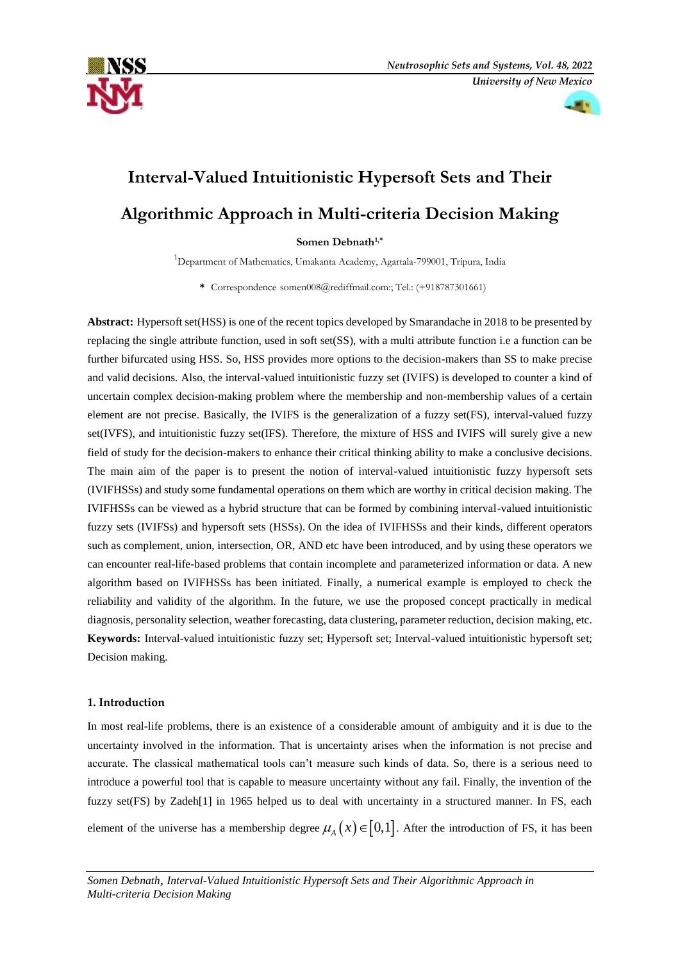

# **Interval-Valued Intuitionistic Hypersoft Sets and Their Algorithmic Approach in Multi-criteria Decision Making**

**Somen Debnath1,\***

 $1$ Department of Mathematics, Umakanta Academy, Agartala-799001, Tripura, India

**\*** Correspondence somen008@rediffmail.com:; Tel.: (+918787301661)

**Abstract:** Hypersoft set(HSS) is one of the recent topics developed by Smarandache in 2018 to be presented by replacing the single attribute function, used in soft set(SS), with a multi attribute function i.e a function can be further bifurcated using HSS. So, HSS provides more options to the decision-makers than SS to make precise and valid decisions. Also, the interval-valued intuitionistic fuzzy set (IVIFS) is developed to counter a kind of uncertain complex decision-making problem where the membership and non-membership values of a certain element are not precise. Basically, the IVIFS is the generalization of a fuzzy set(FS), interval-valued fuzzy set(IVFS), and intuitionistic fuzzy set(IFS). Therefore, the mixture of HSS and IVIFS will surely give a new field of study for the decision-makers to enhance their critical thinking ability to make a conclusive decisions. The main aim of the paper is to present the notion of interval-valued intuitionistic fuzzy hypersoft sets (IVIFHSSs) and study some fundamental operations on them which are worthy in critical decision making. The IVIFHSSs can be viewed as a hybrid structure that can be formed by combining interval-valued intuitionistic fuzzy sets (IVIFSs) and hypersoft sets (HSSs). On the idea of IVIFHSSs and their kinds, different operators such as complement, union, intersection, OR, AND etc have been introduced, and by using these operators we can encounter real-life-based problems that contain incomplete and parameterized information or data. A new algorithm based on IVIFHSSs has been initiated. Finally, a numerical example is employed to check the reliability and validity of the algorithm. In the future, we use the proposed concept practically in medical diagnosis, personality selection, weather forecasting, data clustering, parameter reduction, decision making, etc. **Keywords:** Interval-valued intuitionistic fuzzy set; Hypersoft set; Interval-valued intuitionistic hypersoft set; Decision making.

## **1. Introduction**

In most real-life problems, there is an existence of a considerable amount of ambiguity and it is due to the uncertainty involved in the information. That is uncertainty arises when the information is not precise and accurate. The classical mathematical tools can't measure such kinds of data. So, there is a serious need to introduce a powerful tool that is capable to measure uncertainty without any fail. Finally, the invention of the fuzzy set(FS) by Zadeh[1] in 1965 helped us to deal with uncertainty in a structured manner. In FS, each

element of the universe has a membership degree  $\mu_A(x) \in [0,1]$ . After the introduction of FS, it has been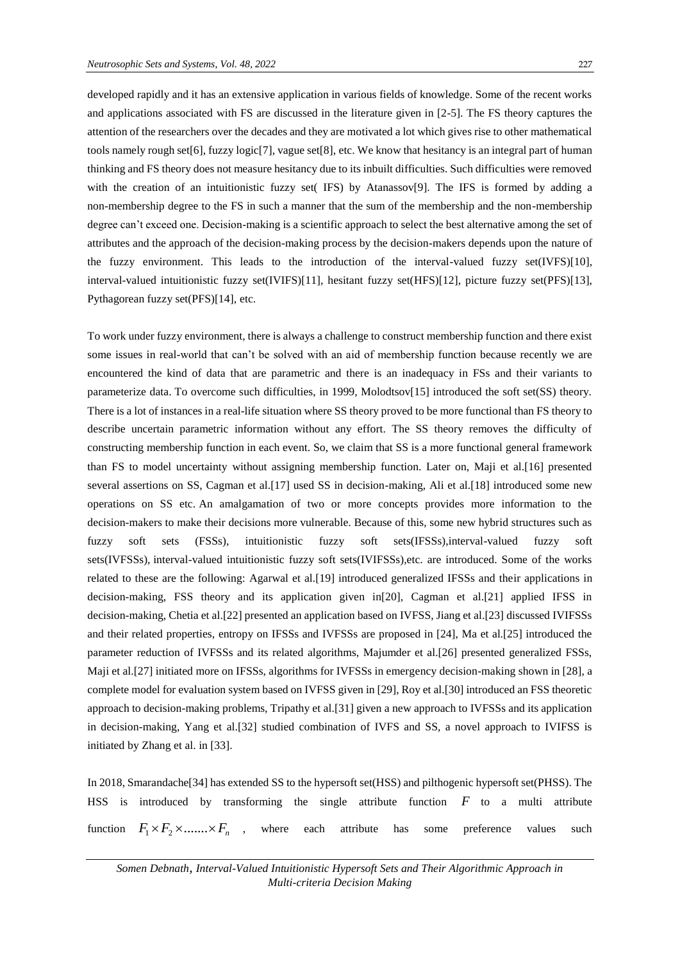developed rapidly and it has an extensive application in various fields of knowledge. Some of the recent works and applications associated with FS are discussed in the literature given in [2-5]. The FS theory captures the attention of the researchers over the decades and they are motivated a lot which gives rise to other mathematical tools namely rough set[6], fuzzy logic[7], vague set[8], etc. We know that hesitancy is an integral part of human thinking and FS theory does not measure hesitancy due to its inbuilt difficulties. Such difficulties were removed with the creation of an intuitionistic fuzzy set( IFS) by Atanassov[9]. The IFS is formed by adding a non-membership degree to the FS in such a manner that the sum of the membership and the non-membership degree can't exceed one. Decision-making is a scientific approach to select the best alternative among the set of attributes and the approach of the decision-making process by the decision-makers depends upon the nature of the fuzzy environment. This leads to the introduction of the interval-valued fuzzy set(IVFS)[10], interval-valued intuitionistic fuzzy set(IVIFS)[11], hesitant fuzzy set(HFS)[12], picture fuzzy set(PFS)[13], Pythagorean fuzzy set(PFS)[14], etc.

To work under fuzzy environment, there is always a challenge to construct membership function and there exist some issues in real-world that can't be solved with an aid of membership function because recently we are encountered the kind of data that are parametric and there is an inadequacy in FSs and their variants to parameterize data. To overcome such difficulties, in 1999, Molodtsov[15] introduced the soft set(SS) theory. There is a lot of instances in a real-life situation where SS theory proved to be more functional than FS theory to describe uncertain parametric information without any effort. The SS theory removes the difficulty of constructing membership function in each event. So, we claim that SS is a more functional general framework than FS to model uncertainty without assigning membership function. Later on, Maji et al.[16] presented several assertions on SS, Cagman et al.[17] used SS in decision-making, Ali et al.[18] introduced some new operations on SS etc. An amalgamation of two or more concepts provides more information to the decision-makers to make their decisions more vulnerable. Because of this, some new hybrid structures such as fuzzy soft sets (FSSs), intuitionistic fuzzy soft sets(IFSSs),interval-valued fuzzy soft sets(IVFSSs), interval-valued intuitionistic fuzzy soft sets(IVIFSSs),etc. are introduced. Some of the works related to these are the following: Agarwal et al.[19] introduced generalized IFSSs and their applications in decision-making, FSS theory and its application given in[20], Cagman et al.[21] applied IFSS in decision-making, Chetia et al.[22] presented an application based on IVFSS, Jiang et al.[23] discussed IVIFSSs and their related properties, entropy on IFSSs and IVFSSs are proposed in [24], Ma et al.[25] introduced the parameter reduction of IVFSSs and its related algorithms, Majumder et al.[26] presented generalized FSSs, Maji et al.[27] initiated more on IFSSs, algorithms for IVFSSs in emergency decision-making shown in [28], a complete model for evaluation system based on IVFSS given in [29], Roy et al.[30] introduced an FSS theoretic approach to decision-making problems, Tripathy et al.[31] given a new approach to IVFSSs and its application in decision-making, Yang et al.[32] studied combination of IVFS and SS, a novel approach to IVIFSS is initiated by Zhang et al. in [33].

In 2018, Smarandache[34] has extended SS to the hypersoft set(HSS) and pilthogenic hypersoft set(PHSS). The HSS is introduced by transforming the single attribute function *F* to a multi attribute function  $F_1 \times F_2 \times \dots \times F_n$ where each attribute has some preference values such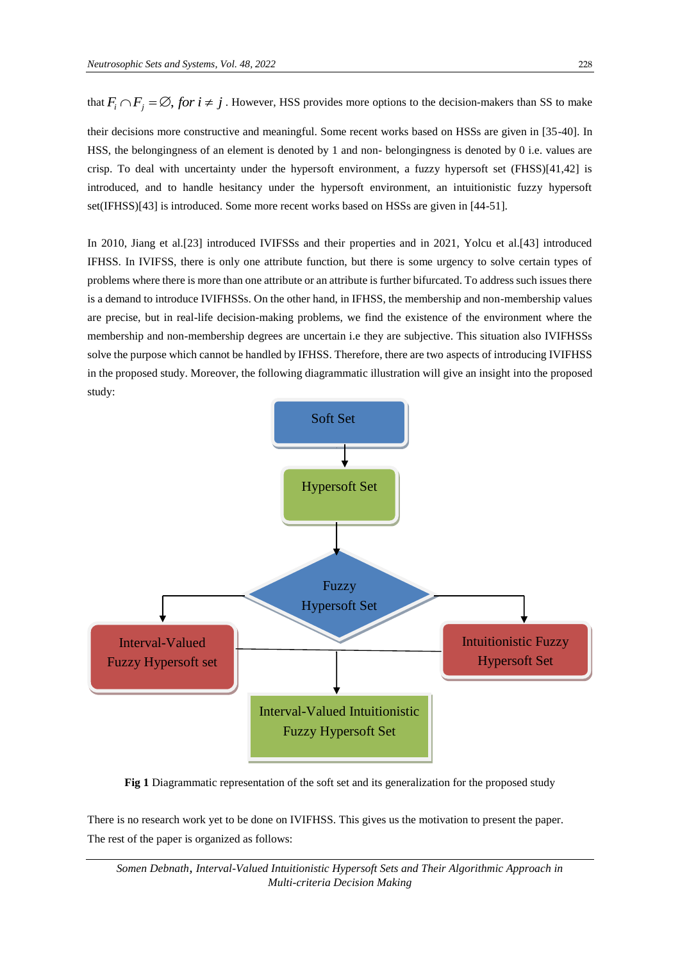that  $F_i \cap F_j = \emptyset$ , *for i*  $\neq j$ . However, HSS provides more options to the decision-makers than SS to make

their decisions more constructive and meaningful. Some recent works based on HSSs are given in [35-40]. In HSS, the belongingness of an element is denoted by 1 and non- belongingness is denoted by 0 i.e. values are crisp. To deal with uncertainty under the hypersoft environment, a fuzzy hypersoft set (FHSS)[41,42] is introduced, and to handle hesitancy under the hypersoft environment, an intuitionistic fuzzy hypersoft set(IFHSS)[43] is introduced. Some more recent works based on HSSs are given in [44-51].

In 2010, Jiang et al.[23] introduced IVIFSSs and their properties and in 2021, Yolcu et al.[43] introduced IFHSS. In IVIFSS, there is only one attribute function, but there is some urgency to solve certain types of problems where there is more than one attribute or an attribute is further bifurcated. To address such issues there is a demand to introduce IVIFHSSs. On the other hand, in IFHSS, the membership and non-membership values are precise, but in real-life decision-making problems, we find the existence of the environment where the membership and non-membership degrees are uncertain i.e they are subjective. This situation also IVIFHSSs solve the purpose which cannot be handled by IFHSS. Therefore, there are two aspects of introducing IVIFHSS in the proposed study. Moreover, the following diagrammatic illustration will give an insight into the proposed study:



**Fig 1** Diagrammatic representation of the soft set and its generalization for the proposed study

There is no research work yet to be done on IVIFHSS. This gives us the motivation to present the paper. The rest of the paper is organized as follows: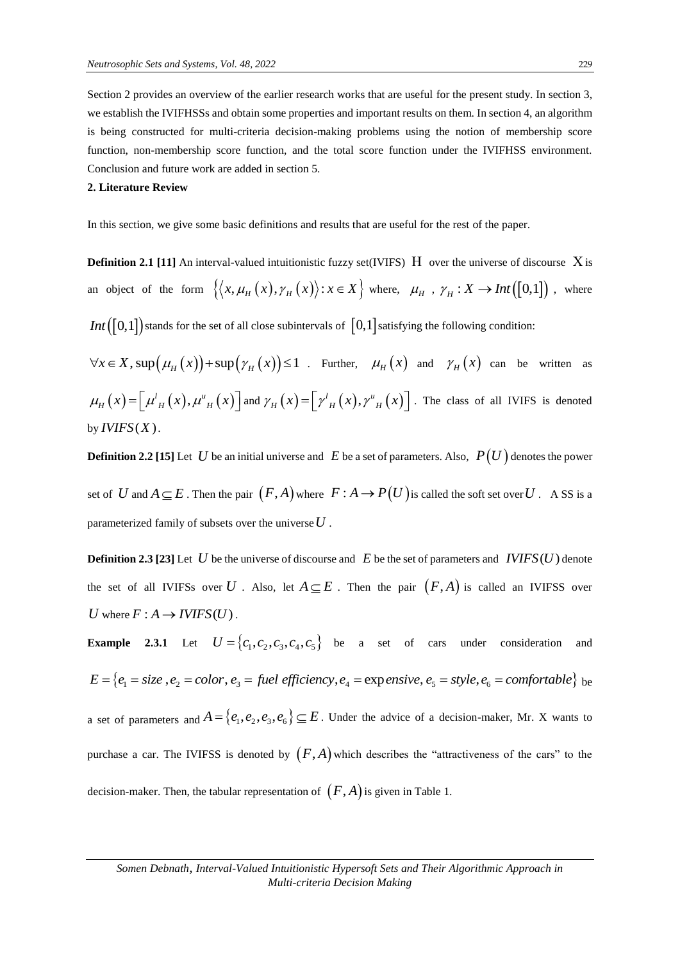Section 2 provides an overview of the earlier research works that are useful for the present study. In section 3, we establish the IVIFHSSs and obtain some properties and important results on them. In section 4, an algorithm is being constructed for multi-criteria decision-making problems using the notion of membership score function, non-membership score function, and the total score function under the IVIFHSS environment. Conclusion and future work are added in section 5.

#### **2. Literature Review**

In this section, we give some basic definitions and results that are useful for the rest of the paper.

**Definition 2.1 [11]** An interval-valued intuitionistic fuzzy set(IVIFS)  $H$  over the universe of discourse X is an object of the form  $\{ (x, \mu_H(x), \gamma_H(x)) : x \in X \}$  where,  $\mu_H$ ,  $\gamma_H : X \to Int([0,1])$ , where *Int* ([0,1]) stands for the set of all close subintervals of  $[0,1]$  satisfying the following condition:  $\forall x \in X$ , sup  $(\mu_H(x))$  + sup  $(\gamma_H(x))$  ≤ 1 . Further,  $\mu_H(x)$  and  $\gamma_H(x)$  can be written as  $\mu_H(x) = \left[ \mu'_H(x), \mu''_H(x) \right]$  and  $\gamma_H(x) = \left[ \gamma'_H(x), \gamma''_H(x) \right]$ . The class of all IVIFS is denoted

by  $IVIFS(X)$ .

**Definition 2.2** [15] Let  $|U|$  be an initial universe and  $|E|$  be a set of parameters. Also,  $|P(U)|$  denotes the power set of  $U$  and  $A \subseteq E$ . Then the pair  $(F, A)$  where  $F : A \to P(U)$  is called the soft set over  $U$ . A SS is a parameterized family of subsets over the universe *U* .

**Definition 2.3 [23]** Let U be the universe of discourse and  $E$  be the set of parameters and  $IVIFS(U)$  denote the set of all IVIFSs over U . Also, let  $A \subseteq E$ . Then the pair  $(F, A)$  is called an IVIFSS over *U* where  $F : A \rightarrow I V I F S (U)$ .

**Example 2.3.1** Let  $U = \{c_1, c_2, c_3, c_4, c_5\}$  be a set of cars under consideration and *Example 2.3.1* Let  $U = \{c_1, c_2, c_3, c_4, c_5\}$  be a set of cars under consideration a<br>  $E = \{e_1 = size, e_2 = color, e_3 = fuel efficiency, e_4 = expensive, e_5 = style, e_6 = comfortable\}$  $E = \{e_1 = size, e_2 = color, e_3 = fuel\ efficiency, e_4 = exp\$ ensive,  $e_5 = style, e_6 = comfortable\}$  be a set of parameters and  $A = \{e_1, e_2, e_3, e_6\} \subseteq E$ . Under the advice of a decision-maker, Mr. X wants to purchase a car. The IVIFSS is denoted by  $(F, A)$  which describes the "attractiveness of the cars" to the decision-maker. Then, the tabular representation of  $(F,A)$  is given in Table 1.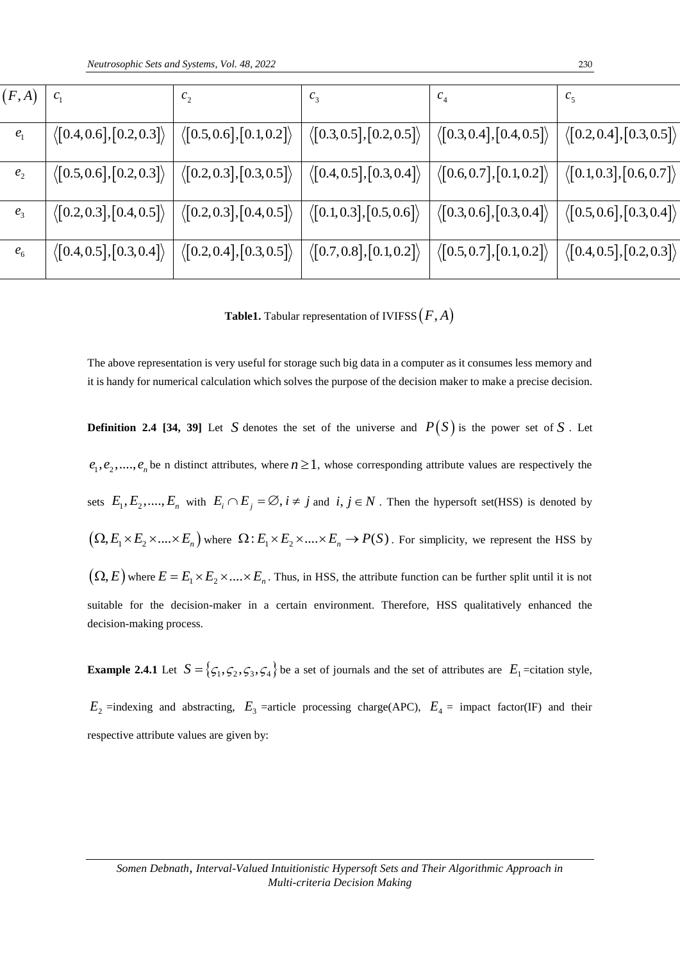| (F,A)                      | c <sub>1</sub>                                          | $c_{2}$                                                                                                                                                                                                                     | $c_3$                                                           | c <sub>4</sub>                                               | c <sub>5</sub>                           |
|----------------------------|---------------------------------------------------------|-----------------------------------------------------------------------------------------------------------------------------------------------------------------------------------------------------------------------------|-----------------------------------------------------------------|--------------------------------------------------------------|------------------------------------------|
| e <sub>1</sub>             | $\langle [0.4, 0.6], [0.2, 0.3] \rangle$                | $\langle [0.5, 0.6], [0.1, 0.2] \rangle$                                                                                                                                                                                    | $\langle [0.3, 0.5], [0.2, 0.5] \rangle$                        | $\langle [0.3, 0.4], [0.4, 0.5] \rangle$                     | $\langle [0.2, 0.4], [0.3, 0.5]$         |
| $e_{2}$                    |                                                         | $\big\langle \begin{bmatrix} 0.5, 0.6 \end{bmatrix}, \begin{bmatrix} 0.2, 0.3 \end{bmatrix} \big\rangle \; \Big  \; \big\langle \begin{bmatrix} 0.2, 0.3 \end{bmatrix}, \begin{bmatrix} 0.3, 0.5 \end{bmatrix} \big\rangle$ | $\langle [0.4, 0.5], [0.3, 0.4] \rangle$                        | $\langle \bigl[0.6, 0.7\bigr], \bigl[0.1, 0.2\bigr] \rangle$ | $\langle [0.1, 0.3], [0.6, 0.7] \rangle$ |
| $e_3$                      | $\langle [0.2, 0.3], [0.4, 0.5] \rangle$                | $\langle [0.2, 0.3], [0.4, 0.5] \rangle$                                                                                                                                                                                    | $\langle$ [0.1,0.3],[0.5,0.6] $\rangle$                         | $\langle$ [0.3,0.6],[0.3,0.4] $\rangle$                      | $\langle$ [0.5,0.6],[0.3,0.4]            |
| $e_{\scriptscriptstyle 6}$ | $\langle \big[0.4, 0.5\big], \big[0.3, 0.4\big]\rangle$ | $\langle [0.2, 0.4], [0.3, 0.5] \rangle$                                                                                                                                                                                    | $\big\langle \big[0.7, 0.8\big], \big[0.1, 0.2\big]\big\rangle$ | $\langle \bigl[0.5, 0.7\bigr], \bigl[0.1, 0.2\bigr] \rangle$ | $\langle [0.4, 0.5], [0.2, 0.3]$         |

**Table1.** Tabular representation of IVIFSS *F A*,

The above representation is very useful for storage such big data in a computer as it consumes less memory and it is handy for numerical calculation which solves the purpose of the decision maker to make a precise decision.

**Definition 2.4 [34, 39]** Let S denotes the set of the universe and  $P(S)$  is the power set of S. Let  $e_1, e_2, \ldots, e_n$  be n distinct attributes, where  $n \ge 1$ , whose corresponding attribute values are respectively the sets  $E_1, E_2, \ldots, E_n$  with  $E_i \cap E_j = \emptyset$ ,  $i \neq j$  and  $i, j \in N$ . Then the hypersoft set(HSS) is denoted by  $(Q, E_1 \times E_2 \times .... \times E_n)$  where  $\Omega: E_1 \times E_2 \times .... \times E_n \to P(S)$ . For simplicity, we represent the HSS by  $(Q, E)$  where  $E = E_1 \times E_2 \times .... \times E_n$ . Thus, in HSS, the attribute function can be further split until it is not suitable for the decision-maker in a certain environment. Therefore, HSS qualitatively enhanced the decision-making process.

**Example 2.4.1** Let  $S = \{ \zeta_1, \zeta_2, \zeta_3, \zeta_4 \}$  be a set of journals and the set of attributes are  $E_1$  =citation style,  $E_2$  =indexing and abstracting,  $E_3$  =article processing charge(APC),  $E_4$  = impact factor(IF) and their

respective attribute values are given by: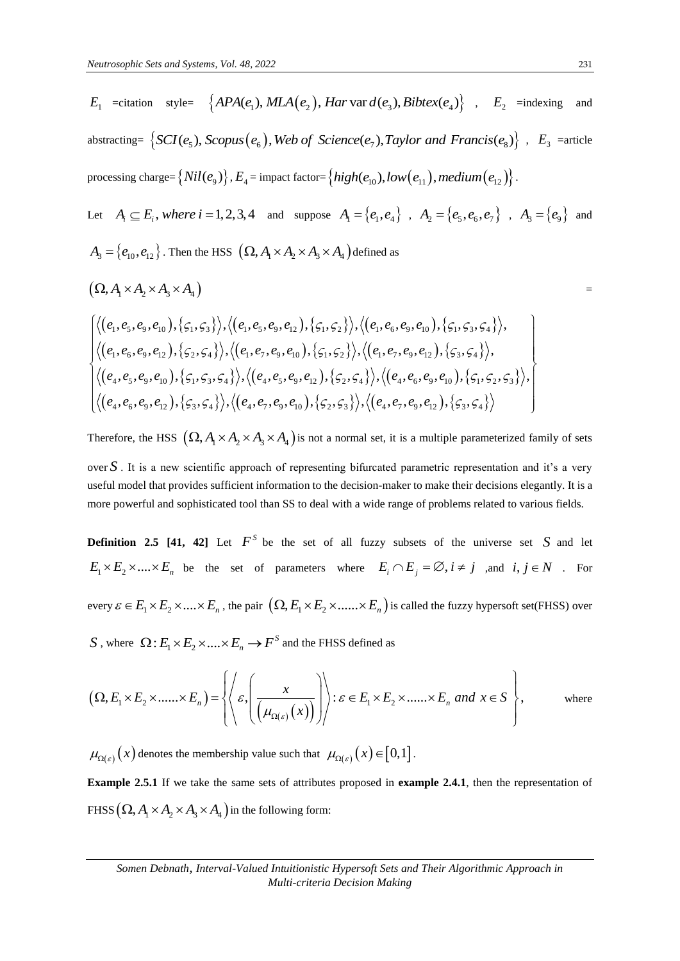$E_1$  =citation style= { $APA(e_1)$ ,  $MLA(e_2)$ ,  $Har$  var  $d(e_3)$ ,  $Bibtex(e_4)$ },  $E_2$  =indexing and abstracting= *SCI*  $(e_5)$ ,  $SLA(e_1)$ ,  $MLA(e_2)$ ,  $Har \text{var } d(e_3)$ ,  $Bibtext(e_4)$ ,  $E_2$  =indexi<br>{*SCI*( $e_5$ ), *Scopus*( $e_6$ ), *Web of Science*( $e_7$ ), *Taylor and Francis*( $e_8$ )},  $E_3$ =article processing charge=  $\big\{Nil(e_{_9})\big\}$  ,  $E_{_4}$  = impact factor=  $\big\{high(e_{_{10}}), low(e_{_{11}}), medium(e_{_{12}})\big\}$  .

Let 
$$
A_i \subseteq E_i
$$
, where  $i = 1, 2, 3, 4$  and suppose  $A_1 = \{e_1, e_4\}$ ,  $A_2 = \{e_5, e_6, e_7\}$ ,  $A_3 = \{e_9\}$  and  
\n $A_3 = \{e_{10}, e_{12}\}$ . Then the HSS  $(\Omega, A_1 \times A_2 \times A_3 \times A_4)$  defined as

$$
(\Omega, A_{1} \times A_{2} \times A_{3} \times A_{4}) =
$$

$$
(\Omega, A_{1} \times A_{2} \times A_{3} \times A_{4})
$$
\n=  
\n
$$
\left\langle \langle e_{1}, e_{5}, e_{9}, e_{10} \rangle, \langle \varsigma_{1}, \varsigma_{3} \rangle \rangle, \langle (e_{1}, e_{5}, e_{9}, e_{12}) , \langle \varsigma_{1}, \varsigma_{2} \rangle \rangle, \langle (e_{1}, e_{6}, e_{9}, e_{10}) , \langle \varsigma_{1}, \varsigma_{3}, \varsigma_{4} \rangle \rangle, \langle (e_{1}, e_{6}, e_{9}, e_{12}) , \langle \varsigma_{2}, \varsigma_{4} \rangle \rangle, \langle (e_{1}, e_{7}, e_{9}, e_{10}) , \langle \varsigma_{1}, \varsigma_{2} \rangle \rangle, \langle (e_{1}, e_{7}, e_{9}, e_{12}) , \langle \varsigma_{3}, \varsigma_{4} \rangle \rangle, \langle (e_{4}, e_{5}, e_{9}, e_{10}) , \langle \varsigma_{1}, \varsigma_{3}, \varsigma_{4} \rangle \rangle, \langle (e_{4}, e_{5}, e_{9}, e_{12}) , \langle \varsigma_{2}, \varsigma_{4} \rangle \rangle, \langle (e_{4}, e_{6}, e_{9}, e_{10}) , \langle \varsigma_{1}, \varsigma_{2}, \varsigma_{3} \rangle \rangle, \langle (e_{4}, e_{6}, e_{9}, e_{12}) , \langle \varsigma_{3}, \varsigma_{4} \rangle \rangle, \langle (e_{4}, e_{7}, e_{9}, e_{10}) , \langle \varsigma_{2}, \varsigma_{3} \rangle \rangle, \langle (e_{4}, e_{7}, e_{9}, e_{12}) , \langle \varsigma_{3}, \varsigma_{4} \rangle \rangle \right\}
$$

Therefore, the HSS  $(\Omega, A_1 \times A_2 \times A_3 \times A_4)$  is not a normal set, it is a multiple parameterized family of sets over *S* . It is a new scientific approach of representing bifurcated parametric representation and it's a very useful model that provides sufficient information to the decision-maker to make their decisions elegantly. It is a more powerful and sophisticated tool than SS to deal with a wide range of problems related to various fields.

**Definition 2.5 [41, 42]** Let  $F^S$  be the set of all fuzzy subsets of the universe set S and let  $E_1 \times E_2 \times .... \times E_n$  be the set of parameters where  $E_i \cap E_j = \emptyset$ ,  $i \neq j$  , and  $i, j \in N$  . For every  $\varepsilon \in E_1 \times E_2 \times .... \times E_n$  , the pair  $\left(\Omega, E_1 \times E_2 \times ...... \times E_n\right)$  is called the fuzzy hypersoft set(FHSS) over

$$
S \text{ , where } \Omega: E_1 \times E_2 \times \dots \times E_n \to F^S \text{ and the FHSS defined as}
$$
\n
$$
\left( \Omega, E_1 \times E_2 \times \dots \times E_n \right) = \left\{ \left\langle \varepsilon, \left( \frac{x}{\left( \mu_{\Omega(\varepsilon)}(x) \right)} \right) \right\rangle : \varepsilon \in E_1 \times E_2 \times \dots \times E_n \text{ and } x \in S \right\}, \qquad \text{where}
$$

 $\mu_{_{^{\Omega(\varepsilon)}}}(x)$  denotes the membership value such that  $\,\,\mu_{_{^{\Omega(\varepsilon)}}}(x)\!\in\! \big[0,1\big]$  .

**Example 2.5.1** If we take the same sets of attributes proposed in **example 2.4.1**, then the representation of FHSS  $\left(\Omega, A_{1} \times A_{2} \times A_{3} \times A_{4}\right)$  in the following form: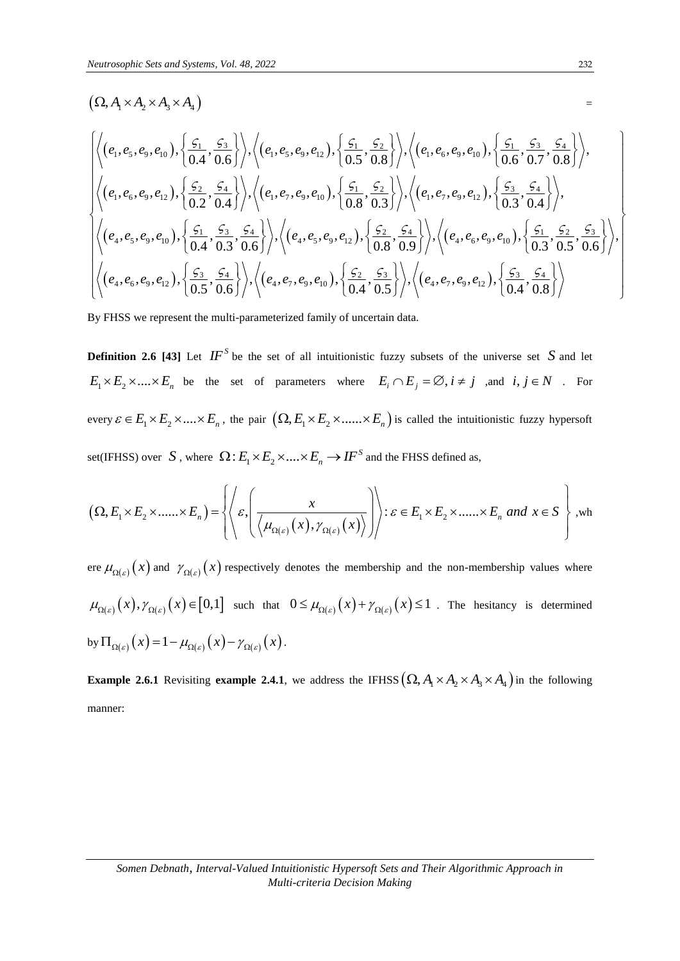$(\Omega, A \times A, \times A, \times A_4)$  =

$$
\begin{split}\n& \left(\Omega,A_{1}\times A_{2}\times A_{3}\times A_{4}\right) \\
&= \\
&\left|\left\langle(e_{1},e_{5},e_{9},e_{10}),\left\{\frac{\zeta_{1}}{0.4},\frac{\zeta_{3}}{0.6}\right\}\right\rangle,\left\langle(e_{1},e_{5},e_{9},e_{12}),\left\{\frac{\zeta_{1}}{0.5},\frac{\zeta_{2}}{0.8}\right\}\right\rangle,\left\langle(e_{1},e_{6},e_{9},e_{10}),\left\{\frac{\zeta_{1}}{0.6},\frac{\zeta_{3}}{0.7},\frac{\zeta_{4}}{0.8}\right\}\right\rangle, \\
&\left\langle(e_{1},e_{6},e_{9},e_{12}),\left\{\frac{\zeta_{2}}{0.2},\frac{\zeta_{4}}{0.4}\right\}\right\rangle,\left\langle(e_{1},e_{7},e_{9},e_{10}),\left\{\frac{\zeta_{1}}{0.8},\frac{\zeta_{2}}{0.3}\right\}\right\rangle,\left\langle(e_{1},e_{7},e_{9},e_{12}),\left\{\frac{\zeta_{3}}{0.3},\frac{\zeta_{4}}{0.4}\right\}\right\rangle, \\
&\left\langle(e_{4},e_{5},e_{9},e_{10}),\left\{\frac{\zeta_{1}}{0.4},\frac{\zeta_{3}}{0.3},\frac{\zeta_{4}}{0.6}\right\}\right\rangle,\left\langle(e_{4},e_{5},e_{9},e_{12}),\left\{\frac{\zeta_{2}}{0.8},\frac{\zeta_{4}}{0.9}\right\}\right\rangle,\left\langle(e_{4},e_{6},e_{9},e_{10}),\left\{\frac{\zeta_{1}}{0.3},\frac{\zeta_{2}}{0.5},\frac{\zeta_{3}}{0.6}\right\}\right\rangle, \\
&\left\langle(e_{4},e_{6},e_{9},e_{12}),\left\{\frac{\zeta_{3}}{0.5},\frac{\zeta_{4}}{0.6}\right\}\right\rangle,\left\langle(e_{4},e_{7},e_{9},e_{10}),\left\{\frac{\zeta_{2}}{0.4},\frac{\zeta_{3}}{0.5}\right\}\right\rangle,\left\langle(e_{4},e_{7},e_{9},e_{12}),\left\{\frac{\zeta_{3}}{0.4},\frac{\zeta_{4}}{0.8}\right\}\right\r
$$

By FHSS we represent the multi-parameterized family of uncertain data.

**Definition 2.6 [43]** Let  $IF^S$  be the set of all intuitionistic fuzzy subsets of the universe set S and let  $E_1 \times E_2 \times .... \times E_n$  be the set of parameters where  $E_i \cap E_j = \emptyset$ ,  $i \neq j$  , and  $i, j \in N$  . For every  $\varepsilon \in E_1 \times E_2 \times \dots \times E_n$ , the pair  $(\Omega, E_1 \times E_2 \times \dots \times E_n)$  is called the intuitionistic fuzzy hypersoft

set(IFHSS) over *S*, where 
$$
\Omega: E_1 \times E_2 \times .... \times E_n \to I F^S
$$
 and the FHSS defined as,  
\n
$$
(\Omega, E_1 \times E_2 \times .... \times E_n) = \left\{ \left\langle \varepsilon, \left( \frac{x}{\left\langle \mu_{\Omega(\varepsilon)}(x), \gamma_{\Omega(\varepsilon)}(x) \right\rangle} \right) \right\rangle : \varepsilon \in E_1 \times E_2 \times .... \times E_n \text{ and } x \in S \right\},
$$
wh

ere  $\mu_{\Omega(\varepsilon)}(x)$  and  $\gamma_{\Omega(\varepsilon)}(x)$  respectively denotes the membership and the non-membership values where  $\mu_{\Omega(\varepsilon)}(x), \gamma_{\Omega(\varepsilon)}(x) \in [0,1]$  such that  $0 \leq \mu_{\Omega(\varepsilon)}(x) + \gamma_{\Omega(\varepsilon)}(x) \leq 1$ . The hesitancy is determined by  $\Pi_{\Omega(\varepsilon)}(x) = 1 - \mu_{\Omega(\varepsilon)}(x) - \gamma_{\Omega(\varepsilon)}(x)$ .

**Example 2.6.1** Revisiting **example 2.4.1**, we address the IFHSS  $(\Omega, A_1 \times A_2 \times A_3 \times A_4)$  in the following manner: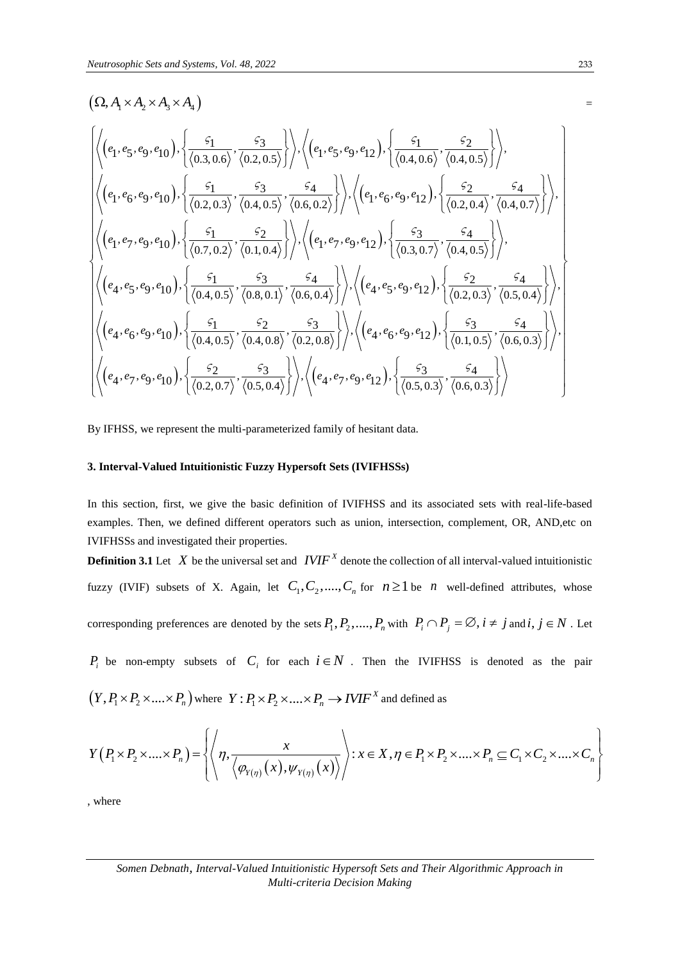# $(\Omega, A \times A, \times A, \times A_4)$  =

$$
(\Omega, A_{1} \times A_{2} \times A_{3} \times A_{4})
$$
\n
$$
\left\langle \left( e_{1}, e_{5}, e_{9}, e_{10} \right), \left\{ \frac{c_{1}}{\langle 0.3, 0.6 \rangle}, \frac{c_{3}}{\langle 0.2, 0.5 \rangle} \right\} \right\rangle, \left\langle \left( e_{1}, e_{5}, e_{9}, e_{12} \right), \left\{ \frac{c_{1}}{\langle 0.4, 0.6 \rangle}, \frac{c_{2}}{\langle 0.4, 0.5 \rangle} \right\} \right\rangle, \\ \left\langle \left( e_{1}, e_{6}, e_{9}, e_{10} \right), \left\{ \frac{c_{1}}{\langle 0.2, 0.3 \rangle}, \frac{c_{3}}{\langle 0.4, 0.5 \rangle}, \frac{c_{4}}{\langle 0.6, 0.2 \rangle} \right\} \right\rangle, \left\langle \left( e_{1}, e_{6}, e_{9}, e_{12} \right), \left\{ \frac{c_{2}}{\langle 0.2, 0.4 \rangle}, \frac{c_{4}}{\langle 0.4, 0.7 \rangle} \right\} \right\rangle, \\ \left\langle \left( e_{1}, e_{7}, e_{9}, e_{10} \right), \left\{ \frac{c_{1}}{\langle 0.7, 0.2 \rangle}, \frac{c_{2}}{\langle 0.1, 0.4 \rangle} \right\} \right\rangle, \left\langle \left( e_{1}, e_{7}, e_{9}, e_{12} \right), \left\{ \frac{c_{3}}{\langle 0.3, 0.7 \rangle}, \frac{c_{4}}{\langle 0.4, 0.5 \rangle} \right\} \right\rangle, \\ \left\langle \left( e_{4}, e_{5}, e_{9}, e_{10} \right), \left\{ \frac{c_{1}}{\langle 0.4, 0.5 \rangle}, \frac{c_{3}}{\langle 0.8, 0.1 \rangle}, \frac{c_{4}}{\langle 0.6, 0.4 \rangle} \right\} \right\rangle, \left\langle \left( e_{4}, e_{5}, e_{9}, e_{12} \right), \left\{ \frac{c_{2}}{\langle 0.2, 0.3 \rangle}, \frac{c_{4}}{\langle 0.5, 0.4 \rangle} \right\} \right\rangle, \\ \left\langle \left( e_{4}, e_{5}, e_{9}, e_{10
$$

By IFHSS, we represent the multi-parameterized family of hesitant data.

#### **3. Interval-Valued Intuitionistic Fuzzy Hypersoft Sets (IVIFHSSs)**

In this section, first, we give the basic definition of IVIFHSS and its associated sets with real-life-based examples. Then, we defined different operators such as union, intersection, complement, OR, AND,etc on IVIFHSSs and investigated their properties.

**Definition 3.1** Let X be the universal set and  $IVIF^X$  denote the collection of all interval-valued intuitionistic fuzzy (IVIF) subsets of X. Again, let  $C_1, C_2, \ldots, C_n$  for  $n \ge 1$  be *n* well-defined attributes, whose corresponding preferences are denoted by the sets  $P_1, P_2, \ldots, P_n$  with  $P_i \cap P_j = \emptyset$ ,  $i \neq j$  and  $i, j \in N$ . Let

 $P_i$  be non-empty subsets of  $C_i$  for each  $i \in N$ . Then the IVIFHSS is denoted as the pair

$$
(Y, P_1 \times P_2 \times .... \times P_n) \text{ where } Y: P_1 \times P_2 \times .... \times P_n \to IVIF^X \text{ and defined as}
$$
\n
$$
Y(P_1 \times P_2 \times .... \times P_n) = \left\{ \left\langle \eta, \frac{x}{\langle \varphi_{Y(\eta)}(x), \psi_{Y(\eta)}(x) \rangle} \right\rangle : x \in X, \eta \in P_1 \times P_2 \times .... \times P_n \subseteq C_1 \times C_2 \times .... \times C_n \right\}
$$

, where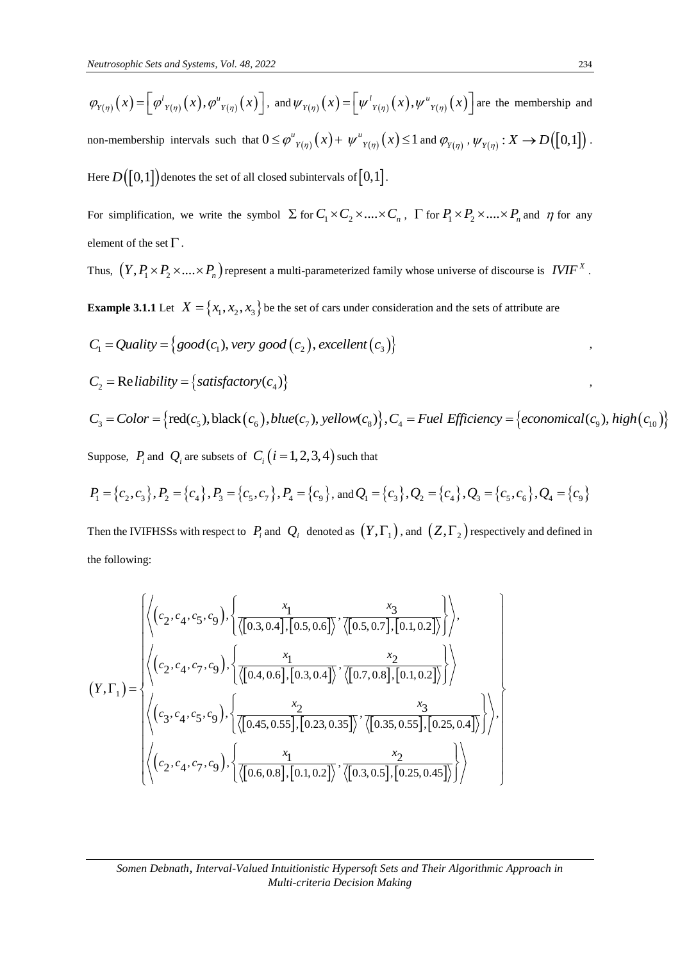$$
\varphi_{Y(\eta)}(x) = \left[\varphi'_{Y(\eta)}(x), \varphi''_{Y(\eta)}(x)\right], \text{ and } \psi_{Y(\eta)}(x) = \left[\psi'_{Y(\eta)}(x), \psi''_{Y(\eta)}(x)\right] \text{ are the membership and}
$$

non-membership intervals such that  $0 \le \varphi^u_{Y(\eta)}(x)$  $\leq \varphi^{u}_{Y(\eta)}(x) + \psi^{u}_{Y(\eta)}(x) \leq 1$  $\psi^{\mu}{}_{Y(\eta)}(x) \leq 1$  and  $\varphi^{\vphantom{\mu}}_{Y(\eta)}$ ,  $\psi^{\vphantom{\mu}}_{Y(\eta)}: X \to D([0,1])$ . Here  $D\bigl([0,1]\bigr)$  denotes the set of all closed subintervals of  $[0,1]$  .

For simplification, we write the symbol  $\Sigma$  for  $C_1 \times C_2 \times ... \times C_n$ ,  $\Gamma$  for  $P_1 \times P_2 \times ... \times P_n$  and  $\eta$  for any element of the set  $\Gamma$ .

Thus,  $(Y, P_1 \times P_2 \times ... \times P_n)$  represent a multi-parameterized family whose universe of discourse is  $\it IVIF^X$ .

**Example 3.1.1** Let 
$$
X = \{x_1, x_2, x_3\}
$$
 be the set of cars under consideration and the sets of attribute are  
\n $C_1 = Quality = \{good(c_1), very good(c_2), excellent(c_3)\}$   
\n $C_2 = Reliability = \{satisfactory(c_4)\}$   
\n $C_3 = Color = \{red(c_5), black(c_6), blue(c_7), yellow(c_8)\}, C_4 = Fuel Efficiency = \{economical(c_9), high(c_{10})\}$   
\nSuppose,  $P_i$  and  $Q_i$  are subsets of  $C_i$  ( $i = 1, 2, 3, 4$ ) such that

$$
P_1 = \{c_2, c_3\}, P_2 = \{c_4\}, P_3 = \{c_5, c_7\}, P_4 = \{c_9\}, \text{ and } Q_1 = \{c_3\}, Q_2 = \{c_4\}, Q_3 = \{c_5, c_6\}, Q_4 = \{c_9\}
$$

Then the IVIFHSSs with respect to  $P_i$  and  $Q_i$  denoted as  $(Y, \Gamma_1)$ , and  $(Z, \Gamma_2)$  respectively and defined in the following:

the following:  
\n
$$
(Y, \Gamma_1) = \begin{cases}\n\left\langle \left(c_2, c_4, c_5, c_9\right), \left\{ \frac{x_1}{\langle [0.3, 0.4], [0.5, 0.6]}, \frac{x_3}{\langle [0.5, 0.7], [0.1, 0.2] \rangle} \right\} \right\rangle, \\
\left\langle \left(c_2, c_4, c_7, c_9\right), \left\{ \frac{x_1}{\langle [0.4, 0.6], [0.3, 0.4]}, \frac{x_2}{\langle [0.7, 0.8], [0.1, 0.2] \rangle} \right\} \right\rangle, \\
\left\langle \left(c_3, c_4, c_5, c_9\right), \left\{ \frac{x_2}{\langle [0.45, 0.55], [0.23, 0.35]} \right\} , \frac{x_3}{\langle [0.35, 0.55], [0.25, 0.4] \rangle} \right\rangle \right\rangle, \\
\left\langle \left(c_2, c_4, c_7, c_9\right), \left\{ \frac{x_1}{\langle [0.6, 0.8], [0.1, 0.2]} \right\} , \frac{x_2}{\langle [0.3, 0.5], [0.25, 0.45] \rangle} \right\rangle \right\rangle\n\end{cases}
$$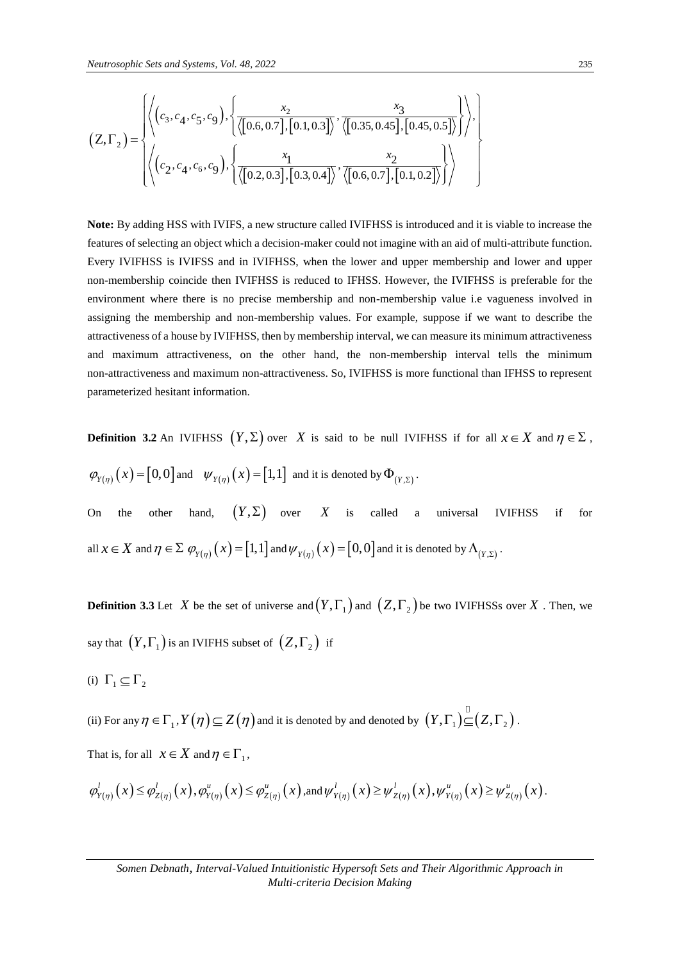*Neutrosophic Sets and Systems, Vol. 48, 2022*  
\n
$$
(Z, \Gamma_2) = \begin{cases} \left\langle \left( c_3, c_4, c_5, c_9 \right), \left\{ \frac{x_2}{\langle [0.6, 0.7], [0.1, 0.3]} \right), \frac{x_3}{\langle [0.35, 0.45], [0.45, 0.5] \rangle} \right\} \right\rangle, \\ \left\langle \left( c_2, c_4, c_6, c_9 \right), \left\{ \frac{x_1}{\langle [0.2, 0.3], [0.3, 0.4]} \right), \frac{x_2}{\langle [0.6, 0.7], [0.1, 0.2] \rangle} \right\rangle \right\rangle \end{cases}
$$

**Note:** By adding HSS with IVIFS, a new structure called IVIFHSS is introduced and it is viable to increase the features of selecting an object which a decision-maker could not imagine with an aid of multi-attribute function. Every IVIFHSS is IVIFSS and in IVIFHSS, when the lower and upper membership and lower and upper non-membership coincide then IVIFHSS is reduced to IFHSS. However, the IVIFHSS is preferable for the environment where there is no precise membership and non-membership value i.e vagueness involved in assigning the membership and non-membership values. For example, suppose if we want to describe the attractiveness of a house by IVIFHSS, then by membership interval, we can measure its minimum attractiveness and maximum attractiveness, on the other hand, the non-membership interval tells the minimum non-attractiveness and maximum non-attractiveness. So, IVIFHSS is more functional than IFHSS to represent parameterized hesitant information.

**Definition 3.2** An IVIFHSS  $(Y, \Sigma)$  over X is said to be null IVIFHSS if for all  $x \in X$  and  $\eta \in \Sigma$ ,  $\varphi_{Y(\eta)}(x) = [0,0]$  and  $\psi_{Y(\eta)}(x) = [1,1]$  and it is denoted by  $\Phi_{(Y,\Sigma)}$ . On the other hand,  $(Y, \Sigma)$  over X is called a universal IVIFHSS if for all  $x \in X$  and  $\eta \in \Sigma$   $\mathcal{O}_{Y(\eta)}\left(x\right) = \left[1,1\right]$  and  $\mathcal{W}_{Y(\eta)}\left(x\right) = \left[0,0\right]$  and it is denoted by  $\Lambda_{(Y,\Sigma)}$  .

**Definition 3.3** Let X be the set of universe and  $(Y, \Gamma)$  and  $(Z, \Gamma)$  be two IVIFHSSs over X. Then, we say that  $(Y, \Gamma_1)$  is an IVIFHS subset of  $(Z, \Gamma_2)$  if

(i)  $\Gamma_1 \subseteq \Gamma_2$ 

(ii) For any  $\eta\in\Gamma _1,Y\big(\eta\big)\!\subseteq\!Z\big(\eta\big)$  and it is denoted by and denoted by  $\,\big(Y,\Gamma_1\big)\!\!\subseteq\!\! \big(Z,\Gamma_z\big)$  .

That is, for all  $x \in X$  and  $\eta \in \Gamma_1$ ,

$$
\varphi'_{Y(\eta)}(x) \leq \varphi'_{Z(\eta)}(x), \varphi''_{Y(\eta)}(x) \leq \varphi''_{Z(\eta)}(x), \text{and } \psi'_{Y(\eta)}(x) \geq \psi'_{Z(\eta)}(x), \psi''_{Y(\eta)}(x) \geq \psi''_{Z(\eta)}(x).
$$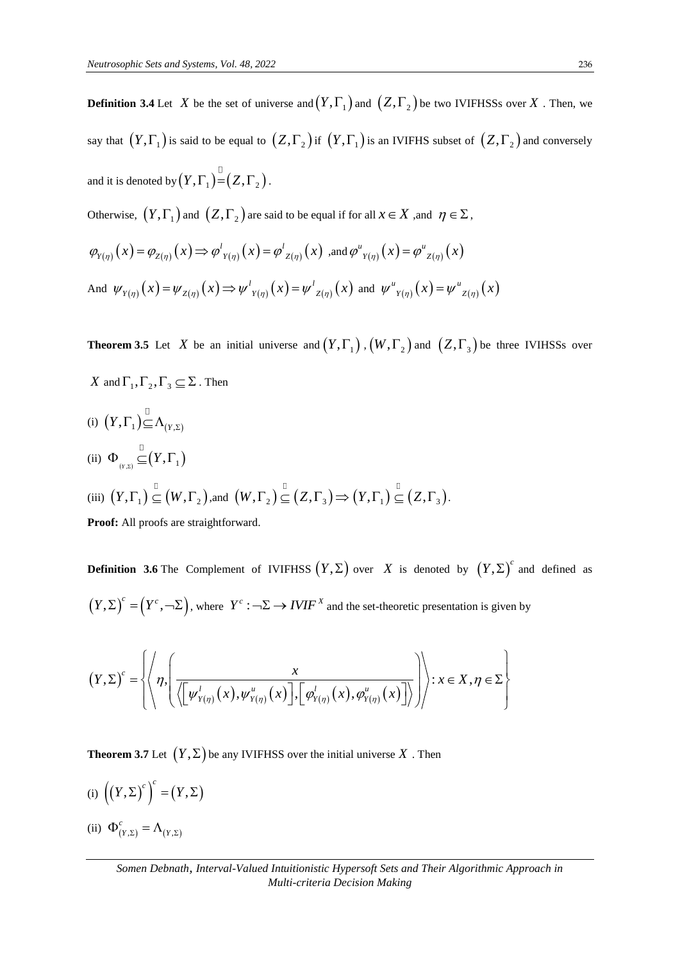say that  $(Y, \Gamma_1)$  is said to be equal to  $(Z, \Gamma_2)$  if  $(Y, \Gamma_1)$  is an IVIFHS subset of  $(Z, \Gamma_2)$  and conversely and it is denoted by  $\left( Y,\Gamma_{1}\right) =\left( Z,\Gamma_{2}\right) .$ 

**Definition 3.4** Let X be the set of universe and  $(Y, \Gamma_1)$  and  $(Z, \Gamma_2)$  be two IVIFHSSs over X. Then, we

Otherwise,  $(Y, \Gamma_1)$  and  $(Z, \Gamma_2)$  are said to be equal if for all  $x \in X$  , and  $\eta \in \Sigma$ ,

$$
\varphi_{Y(\eta)}(x) = \varphi_{Z(\eta)}(x) \Rightarrow \varphi_{Y(\eta)}'(x) = \varphi_{Z(\eta)}'(x) \text{ and } \varphi_{Y(\eta)}(x) = \varphi_{Z(\eta)}(x)
$$
  
And  $\psi_{Y(\eta)}(x) = \psi_{Z(\eta)}(x) \Rightarrow \psi_{Y(\eta)}'(x) = \psi_{Z(\eta)}'(x)$  and  $\psi_{Y(\eta)}(x) = \psi_{Z(\eta)}(x)$ 

**Theorem 3.5** Let X be an initial universe and  $(Y, \Gamma_1)$ ,  $(W, \Gamma_2)$  and  $(Z, \Gamma_3)$  be three IVIHSSs over

X and  $\Gamma_1, \Gamma_2, \Gamma_3 \subseteq \Sigma$ . Then

(i)  $(Y, \Gamma_1) \subseteq \Lambda_{(Y, \Sigma)}$ (ii)  $\Phi_{(Y,\Sigma)} \subseteq (Y,\Gamma_1)$ (iii)  $(Y, \Gamma_1) \subseteq (W, \Gamma_2)$ ,and  $(W, \Gamma_2) \subseteq (Z, \Gamma_3) \Rightarrow (Y, \Gamma_1) \subseteq (Z, \Gamma_3)$ .

**Proof:** All proofs are straightforward.

**Definition 3.6** The Complement of IVIFHSS  $(Y, \Sigma)$  over X is denoted by  $(Y, \Sigma)^c$  and defined as  $(Y, \Sigma)^c = (Y^c, -\Sigma)$ , where  $Y^c : \Sigma \to \text{IVIF}^X$  and the set-theoretic presentation is given by

$$
(Y, \Sigma) = (Y^{\top}, \neg \Sigma), \text{ where } Y^{\top} : \neg \Sigma \to IVIF^{\top} \text{ and the set-theoretic presentation is given by}
$$
\n
$$
(Y, \Sigma)^c = \left\{ \left\langle \eta, \left( \frac{x}{\sqrt{[\psi_{Y(\eta)}^l(x), \psi_{Y(\eta)}^u(x)]}, [\phi_{Y(\eta)}^l(x), \phi_{Y(\eta)}^u(x)]} \right) \right\rangle : x \in X, \eta \in \Sigma \right\}
$$

**Theorem 3.7** Let  $(Y, \Sigma)$  be any IVIFHSS over the initial universe  $X$  . Then

- (i)  $((Y, \Sigma)^c)^c = (Y, \Sigma)$
- (ii)  $\Phi_{(Y,\Sigma)}^c = \Lambda_{(Y,\Sigma)}$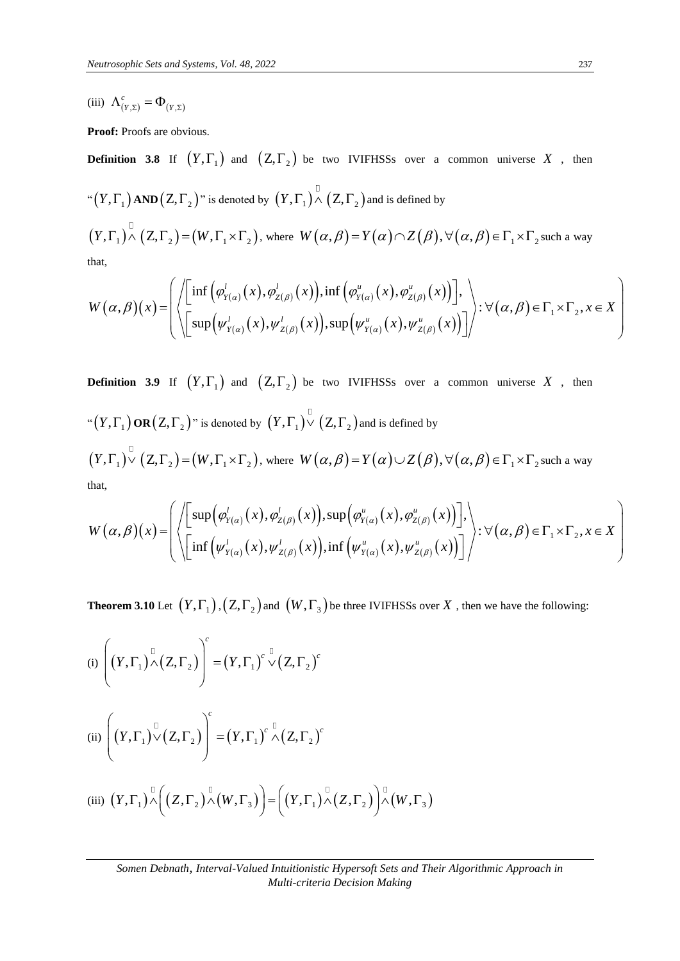(iii)  $\Lambda_{(Y,\Sigma)}^c = \Phi_{(Y,\Sigma)}$ 

Proof: Proofs are obvious.

**Definition 3.8** If  $(Y, \Gamma_1)$  and  $(Z, \Gamma_2)$  be two IVIFHSSs over a common universe X, then  $\pi^*(Y,\Gamma _1)$  AND  $(Z,\Gamma _2)$  " is denoted by  $\left( Y,\Gamma _1\right) \wedge \left( Z,\Gamma _2\right)$  and is defined by  $(Y, \Gamma_1) \overset{\Box}{\wedge} (Z, \Gamma_2) = (W, \Gamma_1 \times \Gamma_2)$ , where  $W(\alpha, \beta) = Y(\alpha) \cap Z(\beta)$ ,  $\forall (\alpha, \beta) \in \Gamma_1 \times \Gamma_2$  such a way  $(W, \Gamma_1 \times \Gamma_2)$ , where  $W(\alpha, \beta) = Y(\alpha) \cap Z(\beta), \forall (\alpha)$ <br>inf  $(\varphi'_{Y(\alpha)}(x), \varphi'_{Z(\beta)}(x)), \inf (\varphi''_{Y(\alpha)}(x), \varphi''_{Z(\beta)}(x))$ . *z*), where  $W(\alpha, \beta) = Y(\alpha) \cap Z(\beta)$ <br>*x*),  $\varphi'_{Z(\beta)}(x)$ , inf  $(\varphi''_{Y(\alpha)}(x), \varphi''_{Z(\beta)}(x))$  $\Gamma_1 \times \Gamma_2$ ), where  $W(\alpha, \beta) = Y(\alpha) \cap Z(\beta), \forall (\alpha, \beta)$ <br>  $(\varphi'_{Y(\alpha)}(x), \varphi'_{Z(\beta)}(x)), \inf (\varphi''_{Y(\alpha)}(x), \varphi''_{Z(\beta)}(x))$ .

that,

$$
(Y,\Gamma_1) \overset{\Box}{\wedge} (Z,\Gamma_2) = (W,\Gamma_1 \times \Gamma_2), \text{ where } W(\alpha,\beta) = Y(\alpha) \cap Z(\beta), \forall (\alpha,\beta) \in \Gamma_1 \times \Gamma_2 \text{ such a way} \nthat,\nW(\alpha,\beta)(x) = \left( \left\langle \left[ \inf \left( \varphi_{Y(\alpha)}^l(x), \varphi_{Z(\beta)}^l(x) \right), \inf \left( \varphi_{Y(\alpha)}^u(x), \varphi_{Z(\beta)}^u(x) \right) \right], \right\rangle \times \forall (\alpha,\beta) \in \Gamma_1 \times \Gamma_2, x \in X \right) \n\left\langle \left[ \sup \left( \psi_{Y(\alpha)}^l(x), \psi_{Z(\beta)}^l(x) \right), \sup \left( \psi_{Y(\alpha)}^u(x), \psi_{Z(\beta)}^u(x) \right) \right] \right\rangle \times \forall (\alpha,\beta) \in \Gamma_1 \times \Gamma_2, x \in X \right)
$$

**Definition 3.9** If  $(Y, \Gamma_1)$  and  $(Z, \Gamma_2)$  be two IVIFHSSs over a common universe X, then  $\pi^*(Y,\Gamma_{_1})$  OR  $(Z,\Gamma_{_2})$ " is denoted by  $\, \big( Y,\Gamma_{_1} \big) \vee \big( Z,\Gamma_{_2} \big)$  and is defined by  $(Y, \Gamma_1) \cup (Z, \Gamma_2) = (W, \Gamma_1 \times \Gamma_2)$ , where  $W(\alpha, \beta) = Y(\alpha) \cup Z(\beta)$ ,  $\forall (\alpha, \beta) \in \Gamma_1 \times \Gamma_2$  such a way that,

$$
(Y, \Gamma_1) \circ (Z, \Gamma_2) = (W, \Gamma_1 \times \Gamma_2), \text{ where } W(\alpha, \beta) = Y(\alpha) \cup Z(\beta), \forall (\alpha, \beta) \in \Gamma_1 \times \Gamma_2 \text{ such a way}
$$
  
that,  

$$
W(\alpha, \beta)(x) = \left( \left\langle \left[ \sup_{\gamma(\alpha)} (\varphi_{Y(\alpha)}^{\prime}(x), \varphi_{Z(\beta)}^{\prime}(x)), \sup_{\gamma(\alpha)} (\varphi_{Y(\alpha)}^{\prime}(x), \varphi_{Z(\beta)}^{\prime}(x)) \right], \right\rangle \cdot \forall (\alpha, \beta) \in \Gamma_1 \times \Gamma_2, x \in X \right)
$$

**Theorem 3.10** Let  $(Y, \Gamma_1)$  ,  $(Z, \Gamma_2)$  and  $(W, \Gamma_3)$  be three IVIFHSSs over X , then we have the following:

(i) 
$$
\left((Y,\Gamma_1) \overset{\Box}{\wedge} (Z,\Gamma_2)\right)^c = (Y,\Gamma_1)^c \overset{\Box}{\vee} (Z,\Gamma_2)^c
$$

$$
(ii) \left( \left( Y, \Gamma_1 \right)^{\square} \vee \left( Z, \Gamma_2 \right) \right)^c = \left( Y, \Gamma_1 \right)^c \stackrel{\square}{\wedge} \left( Z, \Gamma_2 \right)^c
$$

(iii) 
$$
(Y,\Gamma_1) \stackrel{\mathbb{I}}{\wedge} \left( (Z,\Gamma_2) \stackrel{\mathbb{I}}{\wedge} (W,\Gamma_3) \right) = \left( (Y,\Gamma_1) \stackrel{\mathbb{I}}{\wedge} (Z,\Gamma_2) \right) \stackrel{\mathbb{I}}{\wedge} (W,\Gamma_3)
$$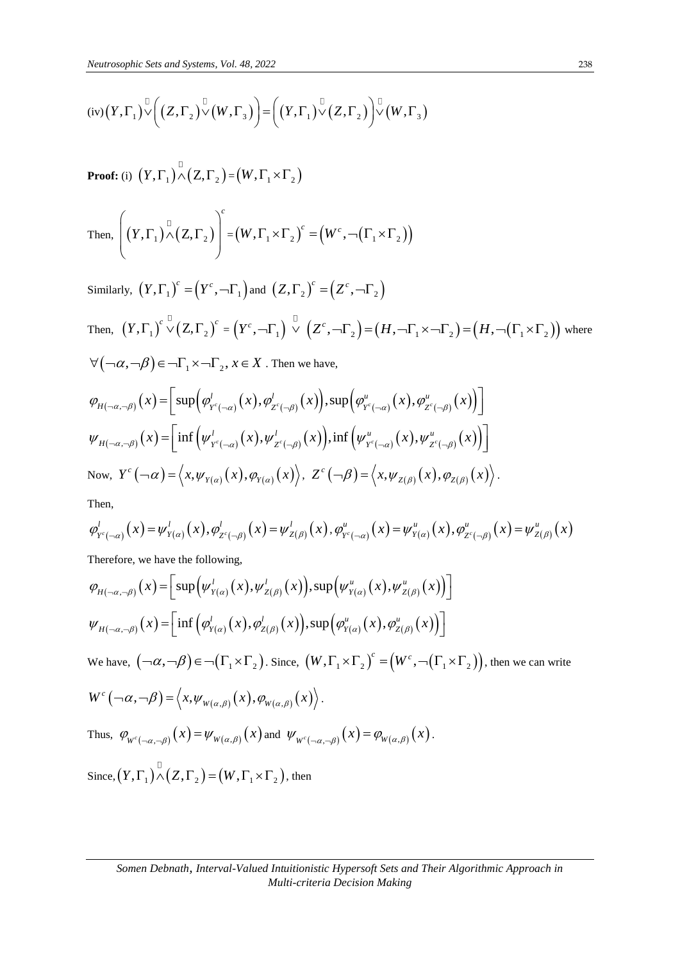$$
(iv) (Y, \Gamma_1) \vee (Z, \Gamma_2) \vee (W, \Gamma_3) = ((Y, \Gamma_1) \vee (Z, \Gamma_2)) \vee (W, \Gamma_3)
$$

**Proof:** (i)  $(Y, \Gamma_1) \wedge (Z, \Gamma_2) = (W, \Gamma_1 \times \Gamma_2)$ 

Then, 
$$
\left((Y,\Gamma_1) \wedge (Z,\Gamma_2)\right)^c = (W,\Gamma_1 \times \Gamma_2)^c = (W^c, \neg(\Gamma_1 \times \Gamma_2))
$$

Similarly, 
$$
(Y, \Gamma_1)^c = (Y^c, -\Gamma_1)
$$
 and  $(Z, \Gamma_2)^c = (Z^c, -\Gamma_2)$   
\nThen,  $(Y, \Gamma_1)^c \vee (Z, \Gamma_2)^c = (Y^c, -\Gamma_1) \vee (Z^c, -\Gamma_2) = (H, -\Gamma_1 \times -\Gamma_2) = (H, -(\Gamma_1 \times \Gamma_2))$  where  
\n $\forall (-\alpha, -\beta) \in -\Gamma_1 \times -\Gamma_2, x \in X$ . Then we have,  
\n $\varphi_{H(-\alpha, -\beta)}(x) = \left[ \sup \left( \varphi_{Y^c(-\alpha)}^l(x), \varphi_{Z^c(-\beta)}^l(x) \right), \sup \left( \varphi_{Y^c(-\alpha)}^u(x), \varphi_{Z^c(-\beta)}^u(x) \right) \right]$   
\n $\psi_{H(-\alpha, -\beta)}(x) = \left[ \inf \left( \psi_{Y^c(-\alpha)}^l(x), \psi_{Z^c(-\beta)}^l(x) \right), \inf \left( \psi_{Y^c(-\alpha)}^u(x), \psi_{Z^c(-\beta)}^u(x) \right) \right]$   
\nNow,  $Y^c(-\alpha) = \langle x, \psi_{Y(\alpha)}(x), \varphi_{Y(\alpha)}(x) \rangle, Z^c(-\beta) = \langle x, \psi_{Z(\beta)}(x), \varphi_{Z(\beta)}(x) \rangle$ .

Then,

Then,  
\n
$$
\varphi_{Y^c(-\alpha)}^l(x) = \psi_{Y(\alpha)}^l(x), \varphi_{Z^c(-\beta)}^l(x) = \psi_{Z(\beta)}^l(x), \varphi_{Y^c(-\alpha)}^u(x) = \psi_{Y(\alpha)}^u(x), \varphi_{Z^c(-\beta)}^u(x) = \psi_{Z(\beta)}^u(x)
$$

Therefore, we have the following,

Therefore, we have the following,  
\n
$$
\varphi_{H(-\alpha,-\beta)}(x) = \left[\sup \left(\psi_{Y(\alpha)}^L(x), \psi_{Z(\beta)}^L(x)\right), \sup \left(\psi_{Y(\alpha)}^u(x), \psi_{Z(\beta)}^u(x)\right)\right]
$$
\n
$$
\psi_{H(-\alpha,-\beta)}(x) = \left[\inf \left(\phi_{Y(\alpha)}^L(x), \phi_{Z(\beta)}^L(x)\right), \sup \left(\phi_{Y(\alpha)}^u(x), \phi_{Z(\beta)}^u(x)\right)\right]
$$
\nWe have,  $(\neg \alpha, \neg \beta) \in \neg(\Gamma_1 \times \Gamma_2)$ . Since,  $(W, \Gamma_1 \times \Gamma_2)^c = (W^c, \neg(\Gamma_1 \times \Gamma_2))$ , then we can write  
\n
$$
W^c(\neg \alpha, \neg \beta) = \left\langle x, \psi_{W(\alpha,\beta)}(x), \phi_{W(\alpha,\beta)}(x) \right\rangle.
$$
\nThus,  $\phi_{W^c(\neg \alpha, \neg \beta)}(x) = \psi_{W(\alpha,\beta)}(x)$  and  $\psi_{W^c(\neg \alpha, \neg \beta)}(x) = \phi_{W(\alpha,\beta)}(x)$ .  
\nSince,  $(Y, \Gamma_1)^{\square} (Z, \Gamma_2) = (W, \Gamma_1 \times \Gamma_2)$ , then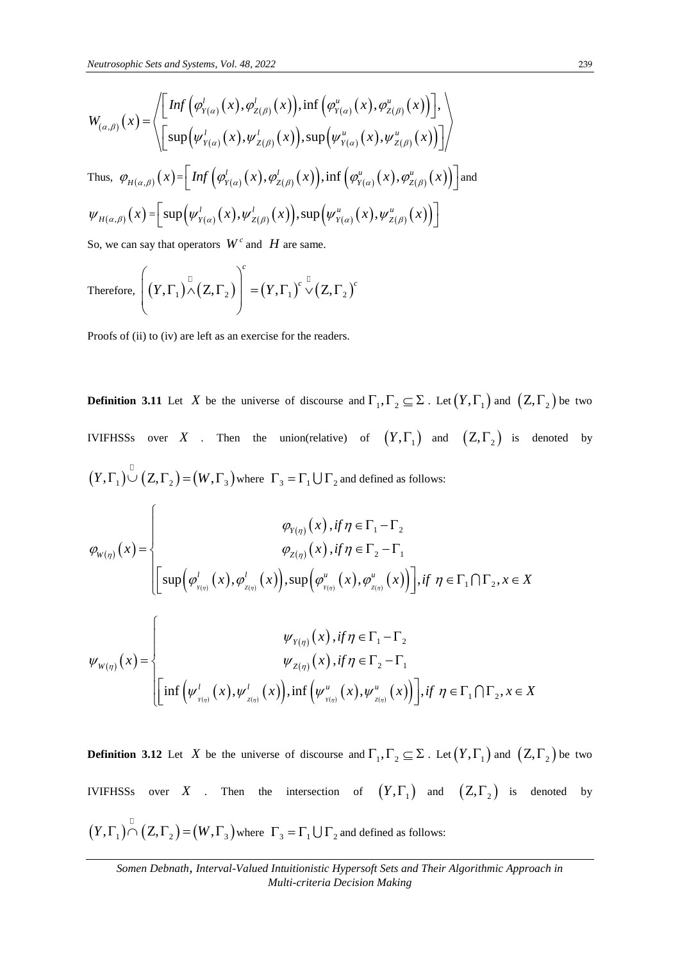*Neutrosophic Sets and Systems, Vol. 48, 2022*  
\n
$$
W_{(\alpha,\beta)}(x) = \left\langle \begin{bmatrix} Inf \left( \varphi_{Y(\alpha)}^l(x), \varphi_{Z(\beta)}^l(x) \right), inf \left( \varphi_{Y(\alpha)}^u(x), \varphi_{Z(\beta)}^u(x) \right) \end{bmatrix}, \right\rangle
$$
\n
$$
W_{(\alpha,\beta)}(x) = \left\langle \begin{bmatrix} \sup \left( \psi_{Y(\alpha)}^l(x), \psi_{Z(\beta)}^l(x) \right), \sup \left( \psi_{Y(\alpha)}^u(x), \psi_{Z(\beta)}^u(x) \right) \end{bmatrix} \right\rangle
$$
\nThus,  $\varphi_{H(\alpha,\beta)}(x) = \begin{bmatrix} Inf \left( \varphi_{Y(\alpha)}^l(x), \varphi_{Z(\beta)}^l(x) \right), inf \left( \varphi_{Y(\alpha)}^u(x), \varphi_{Z(\beta)}^u(x) \right) \end{bmatrix} \right\rangle$ \nand  $\psi_{H(\alpha,\beta)}(x) = \begin{bmatrix} \sup \left( \psi_{Y(\alpha)}^l(x), \psi_{Z(\beta)}^l(x) \right), \sup \left( \psi_{Y(\alpha)}^u(x), \psi_{Z(\beta)}^u(x) \right) \end{bmatrix}$ 

So, we can say that operators  $W^c$  and  $H$  are same.

Therefore, 
$$
\left( (Y, \Gamma_1)^{\mathbb{Z}} (Z, \Gamma_2) \right)^c = (Y, \Gamma_1)^c \sqrt[C]{(Z, \Gamma_2)^c}
$$

Proofs of (ii) to (iv) are left as an exercise for the readers.

 $\sqrt{ }$ 

**Definition 3.11** Let X be the universe of discourse and  $\Gamma_1, \Gamma_2 \subseteq \Sigma$ . Let  $(Y, \Gamma_1)$  and  $(Z, \Gamma_2)$  be two IVIFHSSs over X . Then the union(relative) of  $(Y, \Gamma_1)$  and  $(Z, \Gamma_2)$  is denoted by

$$
(Y, \Gamma_{1}) \cup (Z, \Gamma_{2}) = (W, \Gamma_{3}) \text{ where } \Gamma_{3} = \Gamma_{1} \cup \Gamma_{2} \text{ and defined as follows:}
$$
\n
$$
\varphi_{W(\eta)}(x) = \begin{cases}\n\varphi_{V(\eta)}(x), if \eta \in \Gamma_{1} - \Gamma_{2} \\
\varphi_{Z(\eta)}(x), if \eta \in \Gamma_{2} - \Gamma_{1} \\
\left[\sup \left(\varphi_{Y(\eta)}^{l}(x), \varphi_{Z(\eta)}^{l}(x)\right), \sup \left(\varphi_{Y(\eta)}^{u}(x), \varphi_{Z(\eta)}^{u}(x)\right)\right], if \eta \in \Gamma_{1} \cap \Gamma_{2}, x \in X\n\end{cases}
$$
\n
$$
\psi_{W(\eta)}(x) = \begin{cases}\n\psi_{V(\eta)}(x), if \eta \in \Gamma_{1} - \Gamma_{2} \\
\psi_{Z(\eta)}(x), if \eta \in \Gamma_{2} - \Gamma_{1} \\
\vdots \\
\left[\inf \left(\psi_{Y(\eta)}^{l}(x), \psi_{Z(\eta)}^{l}(x)\right), \inf \left(\psi_{Y(\eta)}^{u}(x), \psi_{Z(\eta)}^{u}(x)\right)\right], if \eta \in \Gamma_{1} \cap \Gamma_{2}, x \in X\n\end{cases}
$$

**Definition 3.12** Let X be the universe of discourse and  $\Gamma_1, \Gamma_2 \subseteq \Sigma$ . Let  $(Y, \Gamma_1)$  and  $(Z, \Gamma_2)$  be two IVIFHSSs over X . Then the intersection of  $(Y, \Gamma_1)$  and  $(Z, \Gamma_2)$  is denoted by  $(Y, \Gamma_1) \cap (Z, \Gamma_2) = (W, \Gamma_3)$  where  $\Gamma_3 = \Gamma_1 \cup \Gamma_2$  and defined as follows: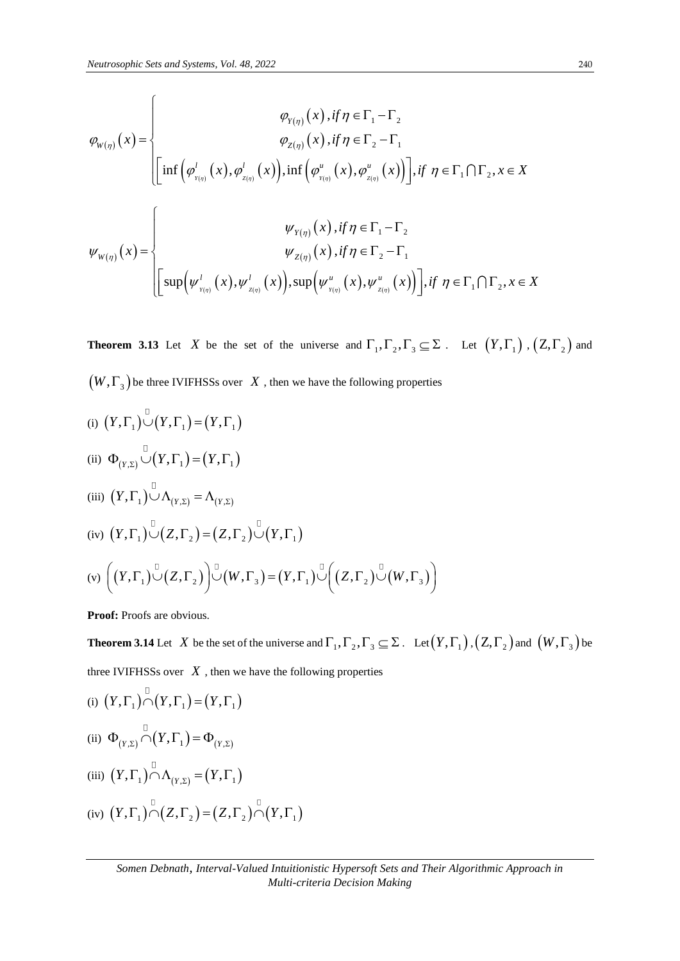*Neutronophic Sets and Systems, Vol. 48, 2022*  
\n
$$
\varphi_{W(\eta)}(x) = \begin{cases}\n\varphi_{Y(\eta)}(x), if \eta \in \Gamma_1 - \Gamma_2 \\
\varphi_{Z(\eta)}(x), if \eta \in \Gamma_2 - \Gamma_1\n\end{cases}
$$
\n
$$
\varphi_{W(\eta)}(x) = \begin{cases}\n\text{inf} \left( \varphi_{Y(\eta)}^l(x), \varphi_{Z(\eta)}^l(x) \right), \text{inf} \left( \varphi_{Y(\eta)}^u(x), \varphi_{Z(\eta)}^u(x) \right) \end{cases}, if \ \eta \in \Gamma_1 \cap \Gamma_2, x \in X \\
\psi_{W(\eta)}(x) = \begin{cases}\n\psi_{Y(\eta)}(x), if \ \eta \in \Gamma_1 - \Gamma_2 \\
\psi_{Z(\eta)}(x), if \ \eta \in \Gamma_2 - \Gamma_1 \\
\psi_{Z(\eta)}(x), if \ \eta \in \Gamma_2 - \Gamma_1\n\end{cases}
$$

**Theorem 3.13** Let X be the set of the universe and  $\Gamma_1, \Gamma_2, \Gamma_3 \subseteq \Sigma$ . Let  $(Y, \Gamma_1)$ ,  $(Z, \Gamma_2)$  and  $\left(W,\Gamma_{_3}\right)$  be three IVIFHSSs over  $\left\vert X\right\rangle$  , then we have the following properties

(i) 
$$
(Y, \Gamma_1) \cup (Y, \Gamma_1) = (Y, \Gamma_1)
$$
  
\n(ii)  $\Phi_{(Y, \Sigma)} \cup (Y, \Gamma_1) = (Y, \Gamma_1)$   
\n(iii)  $(Y, \Gamma_1) \cup \Lambda_{(Y, \Sigma)} = \Lambda_{(Y, \Sigma)}$   
\n(iv)  $(Y, \Gamma_1) \cup (Z, \Gamma_2) = (Z, \Gamma_2) \cup (Y, \Gamma_1)$   
\n(v)  $((Y, \Gamma_1) \cup (Z, \Gamma_2)) \cup (W, \Gamma_3) = (Y, \Gamma_1) \cup ((Z, \Gamma_2) \cup (W, \Gamma_3))$ 

**Proof:** Proofs are obvious.

**Theorem 3.14** Let X be the set of the universe and  $\Gamma_1, \Gamma_2, \Gamma_3 \subseteq \Sigma$ . Let  $(Y, \Gamma_1)$ ,  $(Z, \Gamma_2)$  and  $(W, \Gamma_3)$  be three IVIFHSSs over  $\hat{X}$ , then we have the following properties

(i) 
$$
(Y, \Gamma_1) \cap (Y, \Gamma_1) = (Y, \Gamma_1)
$$
\n(ii) 
$$
\Phi_{(Y, \Sigma)} \cap (Y, \Gamma_1) = \Phi_{(Y, \Sigma)}
$$
\n(iii) 
$$
(Y, \Gamma_1) \cap \Lambda_{(Y, \Sigma)} = (Y, \Gamma_1)
$$
\n(iv) 
$$
(Y, \Gamma_1) \cap (Z, \Gamma_2) = (Z, \Gamma_2) \cap (Y, \Gamma_1)
$$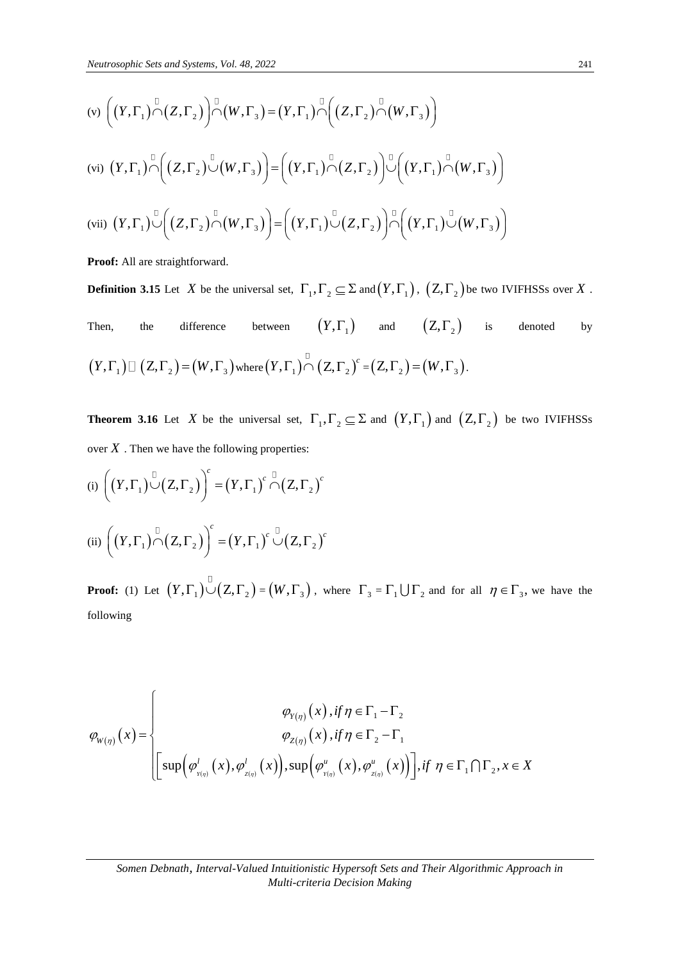Neutrosopnic Sets and Systems, Vol. 48, 2022

\n(v) 
$$
\left( (Y, \Gamma_1) \cap (Z, \Gamma_2) \right) \cap \left( W, \Gamma_3 \right) = (Y, \Gamma_1) \cap \left( (Z, \Gamma_2) \cap (W, \Gamma_3) \right)
$$

\n(vi) 
$$
(Y, \Gamma_1) \cap \left( (Z, \Gamma_2) \cup (W, \Gamma_3) \right) = \left( (Y, \Gamma_1) \cap (Z, \Gamma_2) \right) \cup \left( (Y, \Gamma_1) \cap (W, \Gamma_3) \right)
$$

\n(vii) 
$$
(Y, \Gamma_1) \cup \left( (Z, \Gamma_2) \cap (W, \Gamma_3) \right) = \left( (Y, \Gamma_1) \cup (Z, \Gamma_2) \right) \cup \left( (Y, \Gamma_1) \cup (W, \Gamma_3) \right)
$$

Proof: All are straightforward.

**Definition 3.15** Let X be the universal set,  $\Gamma_1, \Gamma_2 \subseteq \Sigma$  and  $(Y, \Gamma_1)$ ,  $(Z, \Gamma_2)$  be two IVIFHSSs over X.

Then, the difference between  $(Y, \Gamma_1)$  and  $(Z, \Gamma_2)$  is denoted by  $\big(Y,\Gamma_{1}\big) \hspace{0.25mm}\square\ \big(Z,\Gamma_{2}\big) \hspace{0.25mm}=\hspace{0.25mm} \big(W,\Gamma_{3}\big)\hspace{0.25mm}\text{where}\hspace{0.25mm} \big(Y,\Gamma_{1}\big)\overset{\circ}{\hspace{0.25mm}\cap}\ \big(Z,\Gamma_{2}\big)^{c} \hspace{0.25mm}=\hspace{0.25mm} \big(Z,\Gamma_{2}\big) \hspace{0.25mm}=\hspace{0.25mm} \big(W,\Gamma_{3}\big).$ 

**Theorem 3.16** Let X be the universal set,  $\Gamma_1, \Gamma_2 \subseteq \Sigma$  and  $(Y, \Gamma_1)$  and  $(Z, \Gamma_2)$  be two IVIFHSSs over  $X$  . Then we have the following properties:

(i) 
$$
\left( (Y,\Gamma_1) \bigcup_{i=1}^{n} (Z,\Gamma_2) \right)^c = (Y,\Gamma_1)^c \bigcap_{i=1}^{n} (Z,\Gamma_2)^c
$$
  
\n(ii) 
$$
\left( (Y,\Gamma_1) \bigcap_{i=1}^{n} (Z,\Gamma_2) \right)^c = (Y,\Gamma_1)^c \bigcup_{i=1}^{n} (Z,\Gamma_2)^c
$$

**Proof:** (1) Let  $(Y, \Gamma_1) \cup (Z, \Gamma_2) = (W, \Gamma_3)$ , where  $\Gamma_3 = \Gamma_1 \cup \Gamma_2$  and for all  $\eta \in \Gamma_3$ , we have the following

$$
\varphi_{W(\eta)}(x) = \begin{cases}\n\varphi_{Y(\eta)}(x), & \text{if } \eta \in \Gamma_1 - \Gamma_2 \\
\varphi_{Z(\eta)}(x), & \text{if } \eta \in \Gamma_2 - \Gamma_1 \\
\left[\sup \left(\varphi_{_{Y(\eta)}}^l(x), \varphi_{_{Z(\eta)}}^l(x)\right), \sup \left(\varphi_{_{Y(\eta)}}^u(x), \varphi_{_{Z(\eta)}}^u(x)\right)\right], & \text{if } \eta \in \Gamma_1 \cap \Gamma_2, x \in X\n\end{cases}
$$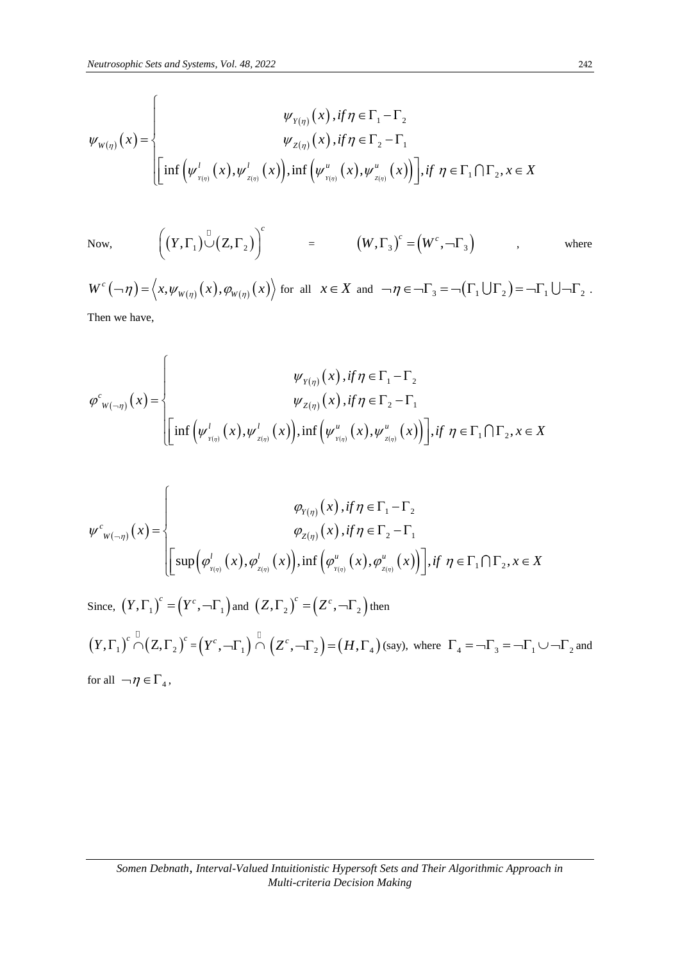*Neutronophic Sets and Systems, Vol. 48, 2022*  
\n
$$
\psi_{Y(\eta)}(x), if \eta \in \Gamma_1 - \Gamma_2
$$
\n
$$
\psi_{Z(\eta)}(x), if \eta \in \Gamma_2 - \Gamma_1
$$
\n
$$
\psi_{Z(\eta)}(x), if \eta \in \Gamma_2 - \Gamma_1
$$
\n
$$
\left[ inf \left( \psi_{Y(\eta)}^l(x), \psi_{Z(\eta)}^l(x) \right), inf \left( \psi_{Y(\eta)}^u(x), \psi_{Z(\eta)}^u(x) \right) \right], if \eta \in \Gamma_1 \cap \Gamma_2, x \in X
$$

Now,

 $\left(Y,\Gamma_{_{1}}\right)\overset{\overset{\square}{\cup}}{\cup}\left(Z,\Gamma_{_{2}}\right)\bigg)^{c}$ *Y*  $((Y, \Gamma_1) \cup (Z, \Gamma_2))^{c}$  =  $(W, \Gamma_3)^{c} = (W^c, \neg \Gamma_3)$  , where

 $W^c(\neg \eta) = \langle x, \psi_{w(\eta)}(x), \varphi_{w(\eta)}(x) \rangle$  for all  $x \in X$  and  $\neg \eta \in \neg \Gamma_3 = \neg(\Gamma_1 \cup \Gamma_2) = \neg \Gamma_1 \cup \neg \Gamma_2$ .

Then we have,

 $\overline{C}$ 

Then we have,  
\n
$$
\varphi_{w(-\eta)}^c(x) = \begin{cases}\n\psi_{Y(\eta)}(x), & \text{if } \eta \in \Gamma_1 - \Gamma_2 \\
\psi_{Z(\eta)}(x), & \text{if } \eta \in \Gamma_2 - \Gamma_1 \\
\left[\inf \left(\psi_{Y(\eta)}^l(x), \psi_{Z(\eta)}^l(x)\right), & \text{if } \left(\psi_{Y(\eta)}^u(x), \psi_{Z(\eta)}^u(x)\right)\right], & \text{if } \eta \in \Gamma_1 \cap \Gamma_2, x \in X\n\end{cases}
$$

$$
\psi^{c}_{w(-\eta)}(x) = \begin{cases} \varphi_{Y(\eta)}(x), & \text{if } \eta \in \Gamma_1 - \Gamma_2 \\ \varphi_{Z(\eta)}(x), & \text{if } \eta \in \Gamma_2 - \Gamma_1 \\ \left[\sup \left(\varphi^{l}_{Y(\eta)}(x), \varphi^{l}_{Z(\eta)}(x)\right), & \text{if } \left(\varphi^{u}_{Y(\eta)}(x), \varphi^{u}_{Z(\eta)}(x)\right)\right], & \text{if } \eta \in \Gamma_1 \cap \Gamma_2, x \in X \end{cases}
$$

Since,  $(Y, \Gamma_1)^c = (Y^c, \neg \Gamma_1)$  and  $(Z, \Gamma_2)^c = (Z^c, \neg \Gamma_2)$  then  $(X, \Gamma_1)^\text{c} \cap (Z, \Gamma_2)^\text{c} = (Y^\text{c}, -\Gamma_1)^\text{c} \cap (Z^\text{c}, -\Gamma_2) = (H, \Gamma_4)$  (say), where  $\Gamma_4 = -\Gamma_3 = -\Gamma_1 \cup -\Gamma_2$  and for all  $\neg \eta \in \Gamma_4$ ,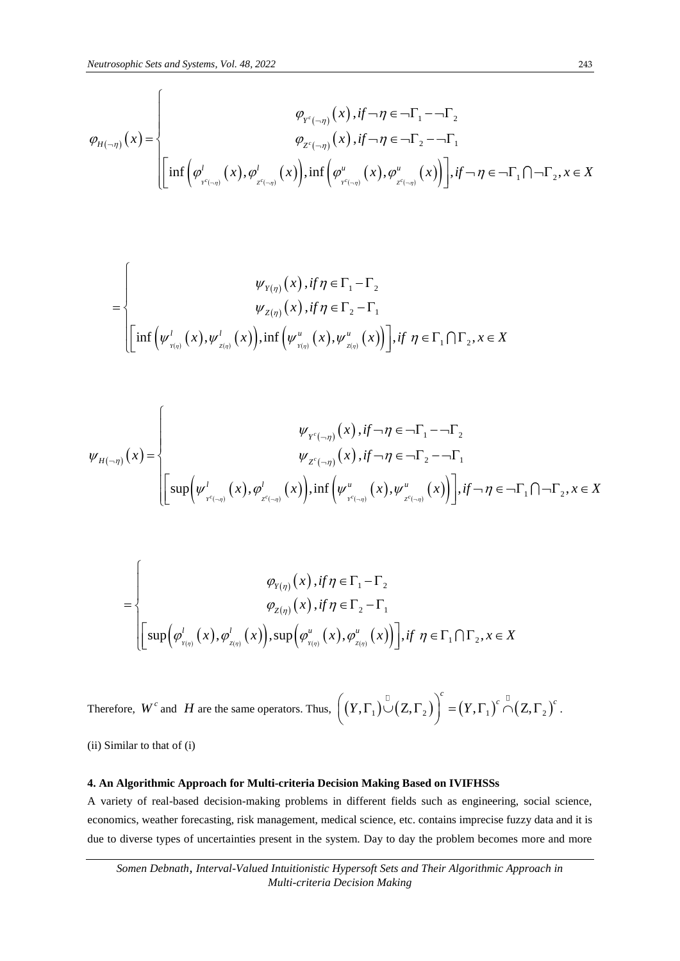*Neutronophic Sets and Systems, Vol. 48, 2022*  
\n
$$
\varphi_{p^{c}(-\eta)}(x), if \neg \eta \in \neg \Gamma_{1} - \neg \Gamma_{2}
$$
\n
$$
\varphi_{p^{c}(-\eta)}(x), if \neg \eta \in \neg \Gamma_{2} - \neg \Gamma_{1}
$$
\n
$$
\varphi_{p^{c}(-\eta)}(x), if \neg \eta \in \neg \Gamma_{2} - \neg \Gamma_{1}
$$
\n
$$
\left[\inf \left(\varphi_{p^{c}(-\eta)}^{l}(x), \varphi_{p^{c}(-\eta)}^{l}(x)\right), \inf \left(\varphi_{p^{c}(-\eta)}^{u}(x), \varphi_{p^{c}(-\eta)}^{u}(x)\right)\right], if \neg \eta \in \neg \Gamma_{1} \cap \neg \Gamma_{2}, x \in X
$$

$$
= \begin{cases} \psi_{Y(\eta)}(x), if \eta \in \Gamma_1 - \Gamma_2 \\ \psi_{Z(\eta)}(x), if \eta \in \Gamma_2 - \Gamma_1 \\ \left[ \inf \left( \psi_{Y(\eta)}^l(x), \psi_{Z(\eta)}^l(x) \right), \inf \left( \psi_{Y(\eta)}^u(x), \psi_{Z(\eta)}^u(x) \right) \right], if \eta \in \Gamma_1 \cap \Gamma_2, x \in X \end{cases}
$$

$$
\psi_{H(-\eta)}(x) = \begin{cases} \psi_{Y^{c}(-\eta)}(x), if \neg \eta \in \neg \Gamma_{1} - \neg \Gamma_{2} \\ \psi_{Z^{c}(-\eta)}(x), if \neg \eta \in \neg \Gamma_{2} - \neg \Gamma_{1} \\ \left[\sup \left(\psi_{Y^{c}(-\eta)}^{l}(x), \varphi_{Z^{c}(-\eta)}^{l}(x)\right), \inf \left(\psi_{Y^{c}(-\eta)}^{u}(x), \psi_{Z^{c}(-\eta)}^{u}(x)\right)\right], if \neg \eta \in \neg \Gamma_{1} \cap \neg \Gamma_{2}, x \in X \end{cases}
$$

$$
\varphi_{Y(\eta)}(x), \text{if } \eta \in \Gamma_1 - \Gamma_2
$$
\n
$$
\varphi_{Z(\eta)}(x), \text{if } \eta \in \Gamma_2 - \Gamma_1
$$
\n
$$
\left[\sup \left(\varphi'_{Y(\eta)}(x), \varphi'_{Z(\eta)}(x)\right), \sup \left(\varphi''_{Y(\eta)}(x), \varphi''_{Z(\eta)}(x)\right)\right], \text{if } \eta \in \Gamma_1 \cap \Gamma_2, x \in X
$$

Therefore,  $W^c$  and  $H$  are the same operators. Thus,  $((Y, \Gamma_1) \cup (Z, \Gamma_2))^{c} = (Y, \Gamma_1)^{c} \cap (Z, \Gamma_2)$  $((Y,\Gamma_1) \cup (Z,\Gamma_2))^{c} = (Y,\Gamma_1)^{c} \cap (Z,\Gamma_2)^{c}$ . .

(ii) Similar to that of (i)

#### **4. An Algorithmic Approach for Multi-criteria Decision Making Based on IVIFHSSs**

A variety of real-based decision-making problems in different fields such as engineering, social science, economics, weather forecasting, risk management, medical science, etc. contains imprecise fuzzy data and it is due to diverse types of uncertainties present in the system. Day to day the problem becomes more and more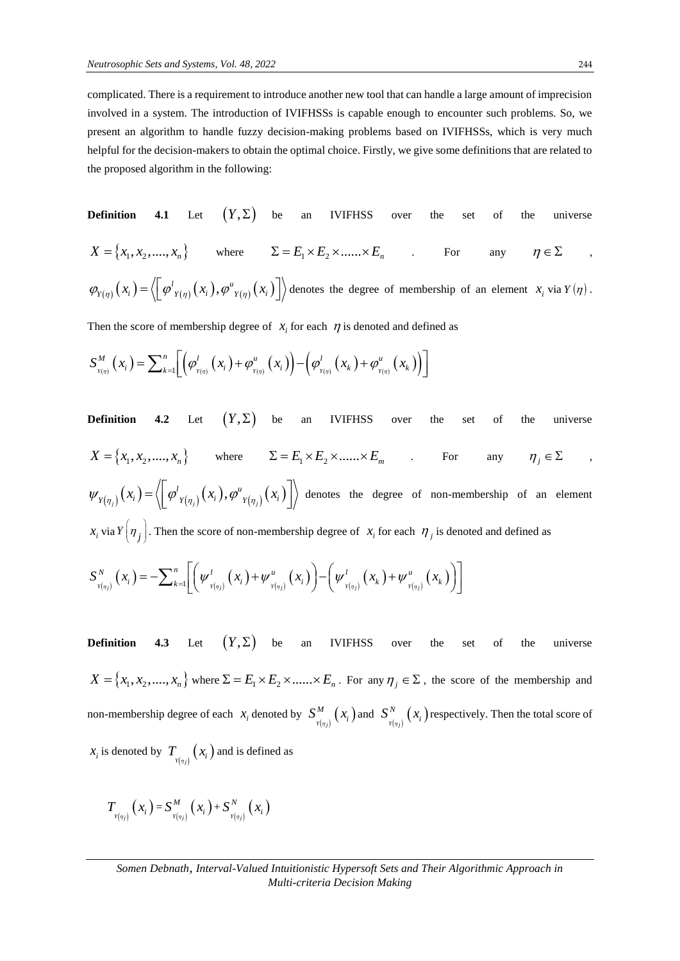complicated. There is a requirement to introduce another new tool that can handle a large amount of imprecision involved in a system. The introduction of IVIFHSSs is capable enough to encounter such problems. So, we present an algorithm to handle fuzzy decision-making problems based on IVIFHSSs, which is very much helpful for the decision-makers to obtain the optimal choice. Firstly, we give some definitions that are related to the proposed algorithm in the following:

**Definition 4.1** Let 
$$
(Y, \Sigma)
$$
 be an IVIFHSS over the set of the universe  
\n $X = \{x_1, x_2, ..., x_n\}$  where  $\Sigma = E_1 \times E_2 \times .... \times E_n$ . For any  $\eta \in \Sigma$ ,  
\n $\varphi_{Y(\eta)}(x_i) = \langle \left[\varphi'_{Y(\eta)}(x_i), \varphi''_{Y(\eta)}(x_i)\right] \rangle$  denotes the degree of membership of an element  $x_i$  via  $Y(\eta)$ .

Then the score of membership degree of 
$$
x_i
$$
 for each  $\eta$  is denoted and defined as\n
$$
S_{Y(\eta)}^M(x_i) = \sum_{k=1}^n \left[ \left( \varphi_{Y(\eta)}^l(x_i) + \varphi_{Y(\eta)}^u(x_i) \right) - \left( \varphi_{Y(\eta)}^l(x_k) + \varphi_{Y(\eta)}^u(x_k) \right) \right]
$$

**Definition** 4.2 Let  $(Y, \Sigma)$ IVIFHSS over the set of the universe  $X = \{x_1, x_2, \dots, x_n\}$  where  $\Sigma = E_1 \times E_2 \times \dots \times E_m$  . For any  $\eta_i \in \Sigma$  $\mathcal{P}_{(n_{i})}(x_{i}) = \left\langle \left[ \varphi^{l}_{Y(\eta_{i})}(x_{i}), \varphi^{u}_{Y(\eta_{i})}(x_{i}) \right] \right\rangle$  $\psi_{Y(\eta_j)}(x_i) = \left\langle \left[ \varphi^{l}_{Y(\eta_j)}(x_i), \varphi^{u}_{Y(\eta_j)}(x_i) \right] \right\rangle$  denotes  $\left[\varphi^{l}_{\;Y(\eta_{j})}\big(x_{_{}^{i}\big),\varphi^{u}_{\;Y(\eta_{j})}\big(x_{_{}^{i}\big)\right]\!\!\Big\rangle$  deno denotes the degree of non-membership of an element  $x_i$  via  $Y(\eta_j)$ . Then the score of non-membership degree of  $x_i$  for each  $\eta_j$  is denoted and defined as<br>  $S_{Y(\eta_j)}^N(x_i) = -\sum_{k=1}^n \left[ \left( \psi_{Y(\eta_j)}^l(x_i) + \psi_{Y(\eta_j)}^u(x_i) \right) - \left( \psi_{Y(\eta_j)}^l(x_k) + \psi_{Y(\eta_j)}^u(x_k) \right) \right]$ 

$$
S_{Y(\eta_j)}^N(x_i) = -\sum_{k=1}^n \left[ \left( \psi_{Y(\eta_j)}^l(x_i) + \psi_{Y(\eta_j)}^u(x_i) \right) - \left( \psi_{Y(\eta_j)}^l(x_k) + \psi_{Y(\eta_j)}^u(x_k) \right) \right]
$$

**Definition 4.3** Let  $(Y, \Sigma)$  be an IVIFHSS over the set of the universe  $X = \{x_1, x_2, \dots, x_n\}$  where  $\Sigma = E_1 \times E_2 \times \dots \times E_n$ . For any  $\eta_j \in \Sigma$ , the score of the membership and non-membership degree of each  $x_i$  denoted by  $S^M_{\nu(\eta_j)}(x_i)$  $S^M_{Y(\eta_j)}(x_i)$  and  $S^N_{Y(\eta_j)}(x_i)$  $S^N_{Y(\eta_i)}(x_i)$  respectively. Then the total score of  $x_i$  is denoted by  $T_{\frac{y(\eta_i)}{y(\eta_j)}}(x_i)$  and is defined as

$$
T_{\boldsymbol{Y}(\eta_j)}\left(\boldsymbol{x}_i\right)=S_{\boldsymbol{Y}(\eta_j)}^M\left(\boldsymbol{x}_i\right)+S_{\boldsymbol{Y}(\eta_j)}^N\left(\boldsymbol{x}_i\right)
$$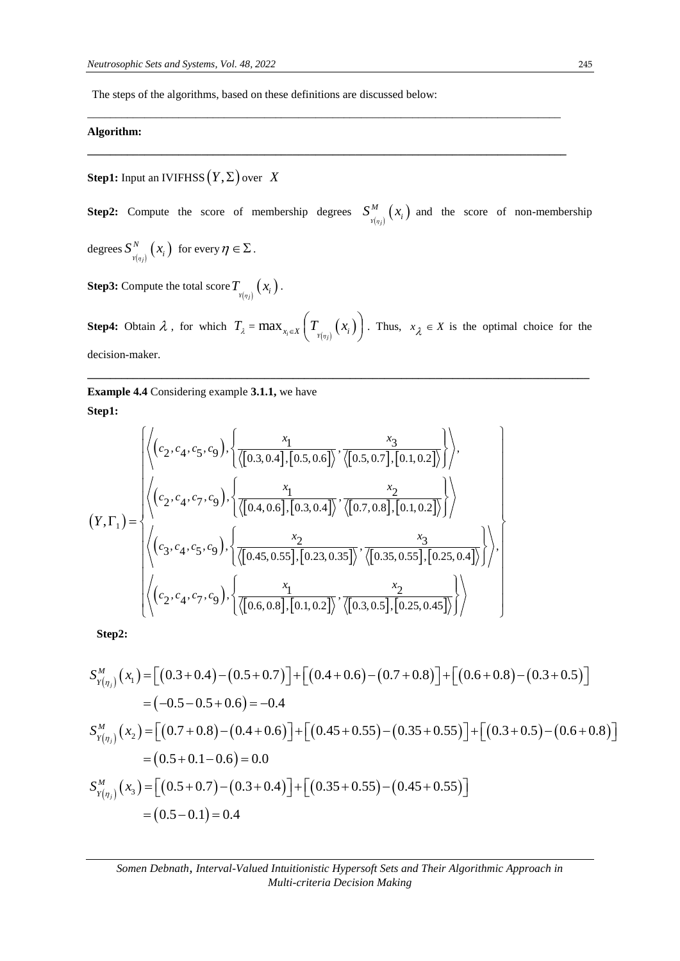The steps of the algorithms, based on these definitions are discussed below:

## **Algorithm:**

 $\textbf{Step 1:}$  Input an IVIFHSS  $(Y, \Sigma)$  over  $(X)$ 

**Step2:** Compute the score of membership degrees  $S_{\nu(\eta)}^M(x_i)$  $S_{Y(\eta_i)}^M(x_i)$  and the score of non-membership  $\deg$ rees  $S^{^N}_{_{Y(\eta_j)}}(x_i)$  $S_{\frac{Y(\eta_i)}{Y(\eta_i)}}^N(x_i)$  for every  $\eta \in \Sigma$ .

\_\_\_\_\_\_\_\_\_\_\_\_\_\_\_\_\_\_\_\_\_\_\_\_\_\_\_\_\_\_\_\_\_\_\_\_\_\_\_\_\_\_\_\_\_\_\_\_\_\_\_\_\_\_\_\_\_\_\_\_\_\_\_\_\_\_\_\_\_\_\_\_\_\_\_\_\_\_\_\_\_\_\_

**\_\_\_\_\_\_\_\_\_\_\_\_\_\_\_\_\_\_\_\_\_\_\_\_\_\_\_\_\_\_\_\_\_\_\_\_\_\_\_\_\_\_\_\_\_\_\_\_\_\_\_\_\_\_\_\_\_\_\_\_\_\_\_\_\_\_\_\_\_\_\_\_\_\_\_\_\_\_\_\_\_\_\_\_**

**Step3:** Compute the total score  $T_{\mathbf{x}(\eta_j)}\left(x_i\right)$  .

**Step4:** Obtain  $\lambda$ , for which  $T_{\lambda} = \max_{x_i \in X} \left( T_{Y(\eta_i)}(x_i) \right)$  $\left(T_{_{\text{Y}(\eta_j)}}\big(X^{\phantom{1}}_{i}\big)\right).$ Thus,  $x_{\lambda} \in X$  is the optimal choice for the decision-maker.

**\_\_\_\_\_\_\_\_\_\_\_\_\_\_\_\_\_\_\_\_\_\_\_\_\_\_\_\_\_\_\_\_\_\_\_\_\_\_\_\_\_\_\_\_\_\_\_\_\_\_\_\_\_\_\_\_\_\_\_\_\_\_\_\_\_\_\_\_\_\_\_\_\_\_\_\_\_\_\_\_\_\_\_\_\_\_\_\_**

**Example 4.4** Considering example **3.1.1,** we have **Step1:**

Example 4.4 Considering example 3.1.1, we have  
\nStep1:  
\n
$$
\left\{\left\langle (c_2, c_4, c_5, c_9), \left\{ \frac{x_1}{\langle [0.3, 0.4], [0.5, 0.6]}, \frac{x_3}{\langle [0.5, 0.7], [0.1, 0.2] \rangle} \right\} \right\rangle,
$$
\n
$$
(Y, \Gamma_1) = \left\{\left\langle (c_2, c_4, c_7, c_9), \left\{ \frac{x_1}{\langle [0.4, 0.6], [0.3, 0.4]}, \frac{x_2}{\langle [0.7, 0.8], [0.1, 0.2] \rangle} \right\} \right\rangle
$$
\n
$$
\left\langle (c_3, c_4, c_5, c_9), \left\{ \frac{x_2}{\langle [0.45, 0.55], [0.23, 0.35]}, \frac{x_3}{\langle [0.35, 0.55], [0.25, 0.4] \rangle} \right\} \right\rangle,
$$
\n
$$
\left\langle (c_2, c_4, c_7, c_9), \left\{ \frac{x_1}{\langle [0.6, 0.8], [0.1, 0.2] \rangle}, \frac{x_2}{\langle [0.3, 0.5], [0.25, 0.45] \rangle} \right\} \right\rangle
$$

**Step2:**

Step2:  
\nStep2:  
\n
$$
S_{Y(\eta_j)}^M(x_1) = [(0.3 + 0.4) - (0.5 + 0.7)] + [(0.4 + 0.6) - (0.7 + 0.8)] + [(0.6 + 0.8) - (0.3 + 0.5)]
$$
\n
$$
= (-0.5 - 0.5 + 0.6) = -0.4
$$
\n
$$
S_{Y(\eta_j)}^M(x_2) = [(0.7 + 0.8) - (0.4 + 0.6)] + [(0.45 + 0.55) - (0.35 + 0.55)] + [(0.3 + 0.5) - (0.6 + 0.8)]
$$
\n
$$
= (0.5 + 0.1 - 0.6) = 0.0
$$
\n
$$
S_{Y(\eta_j)}^M(x_3) = [(0.5 + 0.7) - (0.3 + 0.4)] + [(0.35 + 0.55) - (0.45 + 0.55)]
$$
\n
$$
= (0.5 - 0.1) = 0.4
$$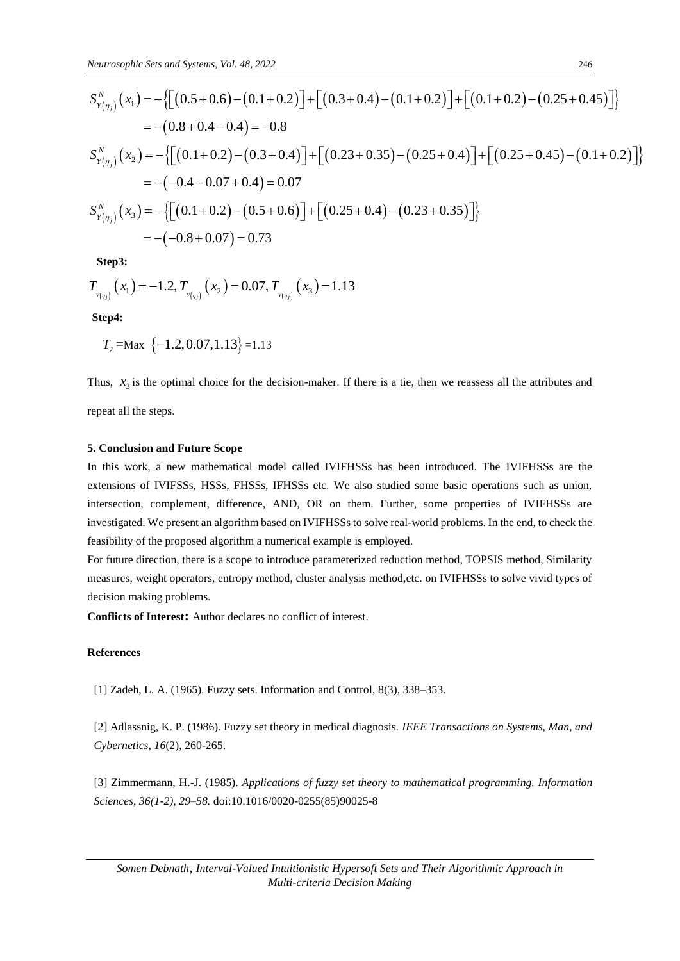*Neutrosophic Sets and Systems, Vol. 48, 2022*  
\n
$$
S_{Y(\eta_j)}^N(x_1) = -\left\{ \left[ (0.5 + 0.6) - (0.1 + 0.2) \right] + \left[ (0.3 + 0.4) - (0.1 + 0.2) \right] + \left[ (0.1 + 0.2) - (0.25 + 0.45) \right] \right\}
$$
\n
$$
= - (0.8 + 0.4 - 0.4) = -0.8
$$
\n
$$
S_{Y(\eta_j)}^N(x_2) = -\left\{ \left[ (0.1 + 0.2) - (0.3 + 0.4) \right] + \left[ (0.23 + 0.35) - (0.25 + 0.4) \right] + \left[ (0.25 + 0.45) - (0.1 + 0.2) \right] \right\}
$$
\n
$$
= -(-0.4 - 0.07 + 0.4) = 0.07
$$
\n
$$
S_{Y(\eta_j)}^N(x_3) = -\left\{ \left[ (0.1 + 0.2) - (0.5 + 0.6) \right] + \left[ (0.25 + 0.4) - (0.23 + 0.35) \right] \right\}
$$
\n
$$
= -(-0.8 + 0.07) = 0.73
$$

**Step3:**

Step3:  
\n
$$
T_{Y(\eta_j)}(x_1) = -1.2, T_{Y(\eta_j)}(x_2) = 0.07, T_{Y(\eta_j)}(x_3) = 1.13
$$

**Step4:**

$$
T_{\lambda} = \text{Max} \ \{-1.2, 0.07, 1.13\} = 1.13
$$

Thus,  $x_3$  is the optimal choice for the decision-maker. If there is a tie, then we reassess all the attributes and repeat all the steps.

**5. Conclusion and Future Scope**

## In this work, a new mathematical model called IVIFHSSs has been introduced. The IVIFHSSs are the extensions of IVIFSSs, HSSs, FHSSs, IFHSSs etc. We also studied some basic operations such as union, intersection, complement, difference, AND, OR on them. Further, some properties of IVIFHSSs are investigated. We present an algorithm based on IVIFHSSs to solve real-world problems. In the end, to check the feasibility of the proposed algorithm a numerical example is employed.

For future direction, there is a scope to introduce parameterized reduction method, TOPSIS method, Similarity measures, weight operators, entropy method, cluster analysis method,etc. on IVIFHSSs to solve vivid types of decision making problems.

**Conflicts of Interest:** Author declares no conflict of interest.

#### **References**

[1] Zadeh, L. A. (1965). Fuzzy sets. Information and Control, 8(3), 338–353.

[2] Adlassnig, K. P. (1986). Fuzzy set theory in medical diagnosis. *IEEE Transactions on Systems, Man, and Cybernetics*, *16*(2), 260-265.

[3] Zimmermann, H.-J. (1985). *Applications of fuzzy set theory to mathematical programming. Information Sciences, 36(1-2), 29–58.* doi:10.1016/0020-0255(85)90025-8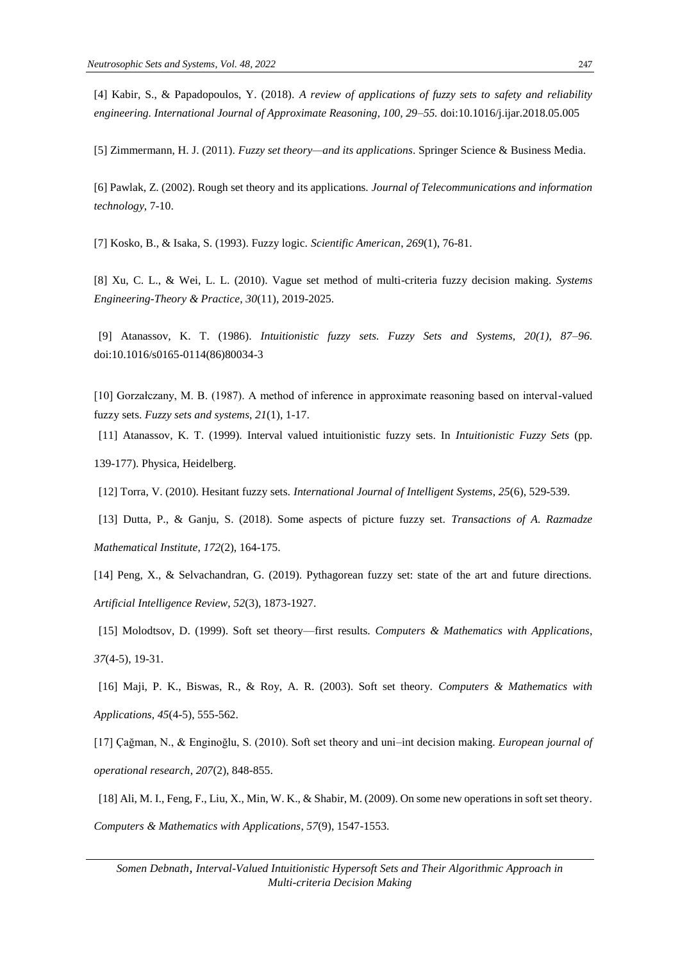[4] Kabir, S., & Papadopoulos, Y. (2018). *A review of applications of fuzzy sets to safety and reliability engineering. International Journal of Approximate Reasoning, 100, 29–55.* doi:10.1016/j.ijar.2018.05.005

[5] Zimmermann, H. J. (2011). *Fuzzy set theory—and its applications*. Springer Science & Business Media.

[6] Pawlak, Z. (2002). Rough set theory and its applications. *Journal of Telecommunications and information technology*, 7-10.

[7] Kosko, B., & Isaka, S. (1993). Fuzzy logic. *Scientific American*, *269*(1), 76-81.

[8] Xu, C. L., & Wei, L. L. (2010). Vague set method of multi-criteria fuzzy decision making. *Systems Engineering-Theory & Practice*, *30*(11), 2019-2025.

[9] Atanassov, K. T. (1986). *Intuitionistic fuzzy sets. Fuzzy Sets and Systems, 20(1), 87–96.* doi:10.1016/s0165-0114(86)80034-3

[10] Gorzałczany, M. B. (1987). A method of inference in approximate reasoning based on interval-valued fuzzy sets. *Fuzzy sets and systems*, *21*(1), 1-17.

[11] Atanassov, K. T. (1999). Interval valued intuitionistic fuzzy sets. In *Intuitionistic Fuzzy Sets* (pp. 139-177). Physica, Heidelberg.

[12] Torra, V. (2010). Hesitant fuzzy sets. *International Journal of Intelligent Systems*, *25*(6), 529-539.

[13] Dutta, P., & Ganju, S. (2018). Some aspects of picture fuzzy set. *Transactions of A. Razmadze Mathematical Institute*, *172*(2), 164-175.

[14] Peng, X., & Selvachandran, G. (2019). Pythagorean fuzzy set: state of the art and future directions. *Artificial Intelligence Review*, *52*(3), 1873-1927.

[15] Molodtsov, D. (1999). Soft set theory—first results. *Computers & Mathematics with Applications*, *37*(4-5), 19-31.

[16] Maji, P. K., Biswas, R., & Roy, A. R. (2003). Soft set theory. *Computers & Mathematics with Applications*, *45*(4-5), 555-562.

[17] Çağman, N., & Enginoğlu, S. (2010). Soft set theory and uni–int decision making. *European journal of operational research*, *207*(2), 848-855.

[18] Ali, M. I., Feng, F., Liu, X., Min, W. K., & Shabir, M. (2009). On some new operations in soft set theory. *Computers & Mathematics with Applications*, *57*(9), 1547-1553.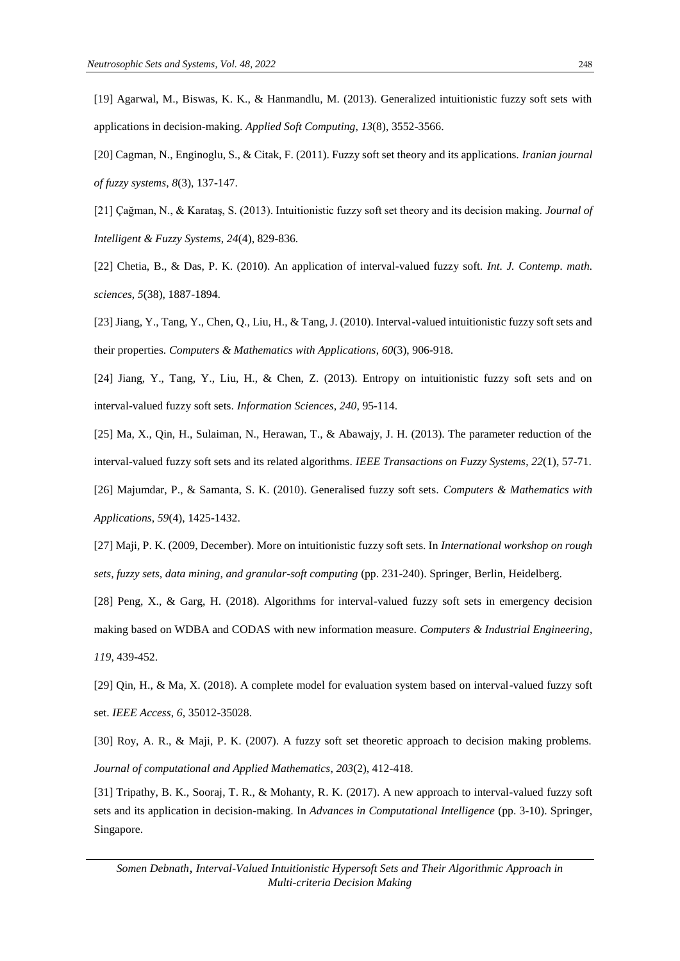[19] Agarwal, M., Biswas, K. K., & Hanmandlu, M. (2013). Generalized intuitionistic fuzzy soft sets with applications in decision-making. *Applied Soft Computing*, *13*(8), 3552-3566.

[20] Cagman, N., Enginoglu, S., & Citak, F. (2011). Fuzzy soft set theory and its applications. *Iranian journal of fuzzy systems*, *8*(3), 137-147.

[21] Çağman, N., & Karataş, S. (2013). Intuitionistic fuzzy soft set theory and its decision making. *Journal of Intelligent & Fuzzy Systems*, *24*(4), 829-836.

[22] Chetia, B., & Das, P. K. (2010). An application of interval-valued fuzzy soft. *Int. J. Contemp. math. sciences*, *5*(38), 1887-1894.

[23] Jiang, Y., Tang, Y., Chen, Q., Liu, H., & Tang, J. (2010). Interval-valued intuitionistic fuzzy soft sets and their properties. *Computers & Mathematics with Applications*, *60*(3), 906-918.

[24] Jiang, Y., Tang, Y., Liu, H., & Chen, Z. (2013). Entropy on intuitionistic fuzzy soft sets and on interval-valued fuzzy soft sets. *Information Sciences*, *240*, 95-114.

[25] Ma, X., Qin, H., Sulaiman, N., Herawan, T., & Abawajy, J. H. (2013). The parameter reduction of the interval-valued fuzzy soft sets and its related algorithms. *IEEE Transactions on Fuzzy Systems*, *22*(1), 57-71. [26] Majumdar, P., & Samanta, S. K. (2010). Generalised fuzzy soft sets. *Computers & Mathematics with* 

*Applications*, *59*(4), 1425-1432.

[27] Maji, P. K. (2009, December). More on intuitionistic fuzzy soft sets. In *International workshop on rough sets, fuzzy sets, data mining, and granular-soft computing* (pp. 231-240). Springer, Berlin, Heidelberg.

[28] Peng, X., & Garg, H. (2018). Algorithms for interval-valued fuzzy soft sets in emergency decision making based on WDBA and CODAS with new information measure. *Computers & Industrial Engineering*, *119*, 439-452.

[29] Qin, H., & Ma, X. (2018). A complete model for evaluation system based on interval-valued fuzzy soft set. *IEEE Access*, *6*, 35012-35028.

[30] Roy, A. R., & Maji, P. K. (2007). A fuzzy soft set theoretic approach to decision making problems. *Journal of computational and Applied Mathematics*, *203*(2), 412-418.

[31] Tripathy, B. K., Sooraj, T. R., & Mohanty, R. K. (2017). A new approach to interval-valued fuzzy soft sets and its application in decision-making. In *Advances in Computational Intelligence* (pp. 3-10). Springer, Singapore.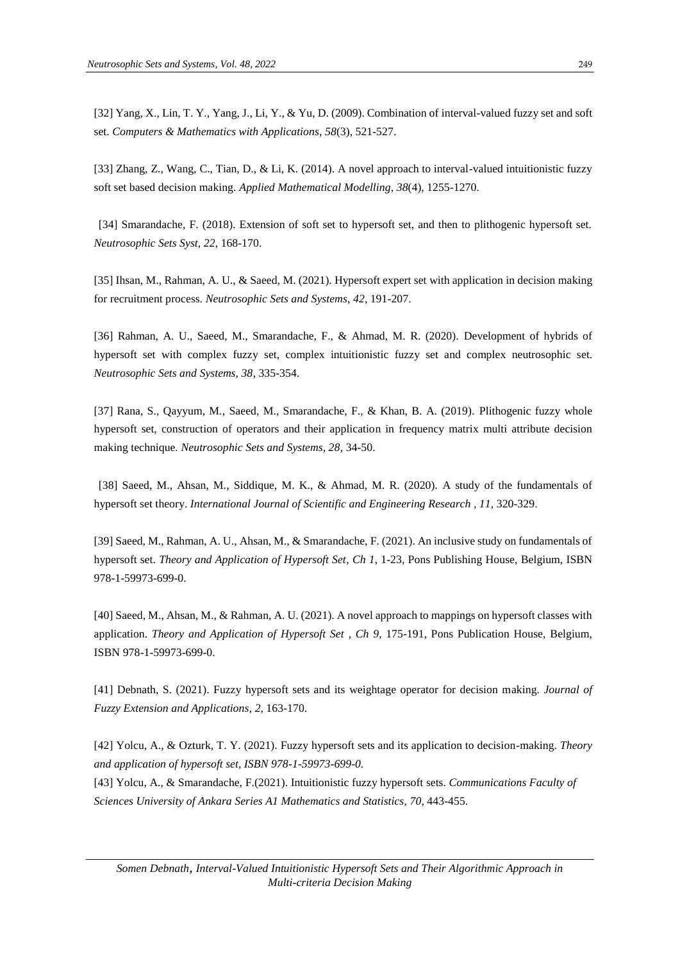[32] Yang, X., Lin, T. Y., Yang, J., Li, Y., & Yu, D. (2009). Combination of interval-valued fuzzy set and soft set. *Computers & Mathematics with Applications*, *58*(3), 521-527.

[33] Zhang, Z., Wang, C., Tian, D., & Li, K. (2014). A novel approach to interval-valued intuitionistic fuzzy soft set based decision making. *Applied Mathematical Modelling*, *38*(4), 1255-1270.

[34] Smarandache, F. (2018). Extension of soft set to hypersoft set, and then to plithogenic hypersoft set. *Neutrosophic Sets Syst*, *22*, 168-170.

[35] Ihsan, M., Rahman, A. U., & Saeed, M. (2021). Hypersoft expert set with application in decision making for recruitment process. *Neutrosophic Sets and Systems*, *42*, 191-207.

[36] Rahman, A. U., Saeed, M., Smarandache, F., & Ahmad, M. R. (2020). Development of hybrids of hypersoft set with complex fuzzy set, complex intuitionistic fuzzy set and complex neutrosophic set. *Neutrosophic Sets and Systems, 38*, 335-354.

[37] Rana, S., Qayyum, M., Saeed, M., Smarandache, F., & Khan, B. A. (2019). Plithogenic fuzzy whole hypersoft set, construction of operators and their application in frequency matrix multi attribute decision making technique*. Neutrosophic Sets and Systems, 28*, 34-50.

[38] Saeed, M., Ahsan, M., Siddique, M. K., & Ahmad, M. R. (2020). A study of the fundamentals of hypersoft set theory. *International Journal of Scientific and Engineering Research , 11,* 320-329.

[39] Saeed, M., Rahman, A. U., Ahsan, M., & Smarandache, F. (2021). An inclusive study on fundamentals of hypersoft set. *Theory and Application of Hypersoft Set*, *Ch 1*, 1-23, Pons Publishing House, Belgium, ISBN 978-1-59973-699-0.

[40] Saeed, M., Ahsan, M., & Rahman, A. U. (2021). A novel approach to mappings on hypersoft classes with application. *Theory and Application of Hypersoft Set* , *Ch 9*, 175-191, Pons Publication House, Belgium, ISBN 978-1-59973-699-0.

[41] Debnath, S. (2021). Fuzzy hypersoft sets and its weightage operator for decision making. *Journal of Fuzzy Extension and Applications*, *2*, 163-170.

[42] Yolcu, A., & Ozturk, T. Y. (2021). Fuzzy hypersoft sets and its application to decision-making. *Theory and application of hypersoft set, ISBN 978-1-59973-699-0.*

[43] Yolcu, A., & Smarandache, F.(2021). Intuitionistic fuzzy hypersoft sets. *Communications Faculty of Sciences University of Ankara Series A1 Mathematics and Statistics*, *70*, 443-455.